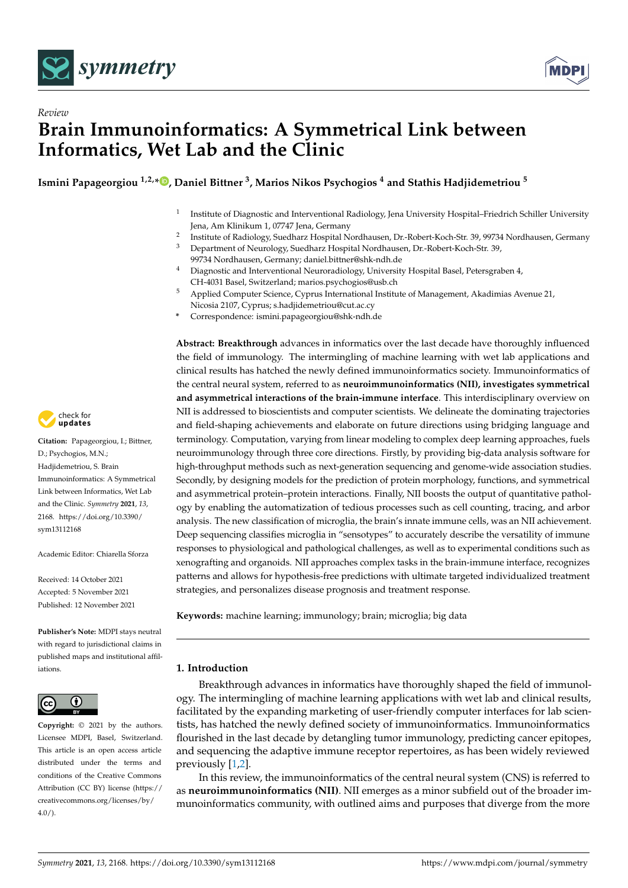



# *Review* **Brain Immunoinformatics: A Symmetrical Link between Informatics, Wet Lab and the Clinic**

**Ismini Papageorgiou 1,2,[\\*](https://orcid.org/0000-0001-5810-0483) , Daniel Bittner <sup>3</sup> , Marios Nikos Psychogios <sup>4</sup> and Stathis Hadjidemetriou <sup>5</sup>**

- 1 Institute of Diagnostic and Interventional Radiology, Jena University Hospital–Friedrich Schiller University Jena, Am Klinikum 1, 07747 Jena, Germany
- 2 Institute of Radiology, Suedharz Hospital Nordhausen, Dr.-Robert-Koch-Str. 39, 99734 Nordhausen, Germany
- <sup>3</sup> Department of Neurology, Suedharz Hospital Nordhausen, Dr.-Robert-Koch-Str. 39, 99734 Nordhausen, Germany; daniel.bittner@shk-ndh.de
- <sup>4</sup> Diagnostic and Interventional Neuroradiology, University Hospital Basel, Petersgraben 4, CH-4031 Basel, Switzerland; marios.psychogios@usb.ch
- <sup>5</sup> Applied Computer Science, Cyprus International Institute of Management, Akadimias Avenue 21, Nicosia 2107, Cyprus; s.hadjidemetriou@cut.ac.cy
- **\*** Correspondence: ismini.papageorgiou@shk-ndh.de

**Abstract: Breakthrough** advances in informatics over the last decade have thoroughly influenced the field of immunology. The intermingling of machine learning with wet lab applications and clinical results has hatched the newly defined immunoinformatics society. Immunoinformatics of the central neural system, referred to as **neuroimmunoinformatics (NII), investigates symmetrical and asymmetrical interactions of the brain-immune interface**. This interdisciplinary overview on NII is addressed to bioscientists and computer scientists. We delineate the dominating trajectories and field-shaping achievements and elaborate on future directions using bridging language and terminology. Computation, varying from linear modeling to complex deep learning approaches, fuels neuroimmunology through three core directions. Firstly, by providing big-data analysis software for high-throughput methods such as next-generation sequencing and genome-wide association studies. Secondly, by designing models for the prediction of protein morphology, functions, and symmetrical and asymmetrical protein–protein interactions. Finally, NII boosts the output of quantitative pathology by enabling the automatization of tedious processes such as cell counting, tracing, and arbor analysis. The new classification of microglia, the brain's innate immune cells, was an NII achievement. Deep sequencing classifies microglia in "sensotypes" to accurately describe the versatility of immune responses to physiological and pathological challenges, as well as to experimental conditions such as xenografting and organoids. NII approaches complex tasks in the brain-immune interface, recognizes patterns and allows for hypothesis-free predictions with ultimate targeted individualized treatment strategies, and personalizes disease prognosis and treatment response.

**Keywords:** machine learning; immunology; brain; microglia; big data

# **1. Introduction**

Breakthrough advances in informatics have thoroughly shaped the field of immunology. The intermingling of machine learning applications with wet lab and clinical results, facilitated by the expanding marketing of user-friendly computer interfaces for lab scientists, has hatched the newly defined society of immunoinformatics. Immunoinformatics flourished in the last decade by detangling tumor immunology, predicting cancer epitopes, and sequencing the adaptive immune receptor repertoires, as has been widely reviewed previously [\[1](#page-12-0)[,2\]](#page-12-1).

In this review, the immunoinformatics of the central neural system (CNS) is referred to as **neuroimmunoinformatics (NII)**. NII emerges as a minor subfield out of the broader immunoinformatics community, with outlined aims and purposes that diverge from the more



**Citation:** Papageorgiou, I.; Bittner, D.; Psychogios, M.N.; Hadjidemetriou, S. Brain Immunoinformatics: A Symmetrical Link between Informatics, Wet Lab and the Clinic. *Symmetry* **2021**, *13*, 2168. [https://doi.org/10.3390/](https://doi.org/10.3390/sym13112168) [sym13112168](https://doi.org/10.3390/sym13112168)

Academic Editor: Chiarella Sforza

Received: 14 October 2021 Accepted: 5 November 2021 Published: 12 November 2021

**Publisher's Note:** MDPI stays neutral with regard to jurisdictional claims in published maps and institutional affiliations.



**Copyright:** © 2021 by the authors. Licensee MDPI, Basel, Switzerland. This article is an open access article distributed under the terms and conditions of the Creative Commons Attribution (CC BY) license (https:/[/](https://creativecommons.org/licenses/by/4.0/) [creativecommons.org/licenses/by/](https://creativecommons.org/licenses/by/4.0/)  $4.0/$ ).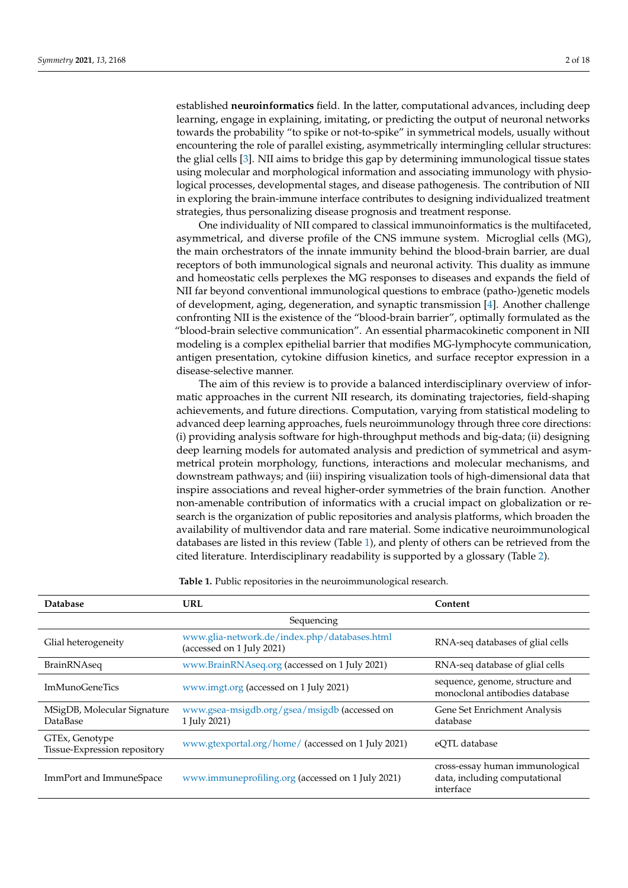established **neuroinformatics** field. In the latter, computational advances, including deep learning, engage in explaining, imitating, or predicting the output of neuronal networks towards the probability "to spike or not-to-spike" in symmetrical models, usually without encountering the role of parallel existing, asymmetrically intermingling cellular structures: the glial cells [\[3\]](#page-12-2). NII aims to bridge this gap by determining immunological tissue states using molecular and morphological information and associating immunology with physiological processes, developmental stages, and disease pathogenesis. The contribution of NII in exploring the brain-immune interface contributes to designing individualized treatment strategies, thus personalizing disease prognosis and treatment response.

One individuality of NII compared to classical immunoinformatics is the multifaceted, asymmetrical, and diverse profile of the CNS immune system. Microglial cells (MG), the main orchestrators of the innate immunity behind the blood-brain barrier, are dual receptors of both immunological signals and neuronal activity. This duality as immune and homeostatic cells perplexes the MG responses to diseases and expands the field of NII far beyond conventional immunological questions to embrace (patho-)genetic models of development, aging, degeneration, and synaptic transmission [\[4\]](#page-12-3). Another challenge confronting NII is the existence of the "blood-brain barrier", optimally formulated as the "blood-brain selective communication". An essential pharmacokinetic component in NII modeling is a complex epithelial barrier that modifies MG-lymphocyte communication, antigen presentation, cytokine diffusion kinetics, and surface receptor expression in a disease-selective manner.

The aim of this review is to provide a balanced interdisciplinary overview of informatic approaches in the current NII research, its dominating trajectories, field-shaping achievements, and future directions. Computation, varying from statistical modeling to advanced deep learning approaches, fuels neuroimmunology through three core directions: (i) providing analysis software for high-throughput methods and big-data; (ii) designing deep learning models for automated analysis and prediction of symmetrical and asymmetrical protein morphology, functions, interactions and molecular mechanisms, and downstream pathways; and (iii) inspiring visualization tools of high-dimensional data that inspire associations and reveal higher-order symmetries of the brain function. Another non-amenable contribution of informatics with a crucial impact on globalization or research is the organization of public repositories and analysis platforms, which broaden the availability of multivendor data and rare material. Some indicative neuroimmunological databases are listed in this review (Table [1\)](#page-2-0), and plenty of others can be retrieved from the cited literature. Interdisciplinary readability is supported by a glossary (Table [2\)](#page-3-0).

**Table 1.** Public repositories in the neuroimmunological research.

| <b>Database</b>                                | <b>URL</b>                                                                | Content                                                                       |  |  |
|------------------------------------------------|---------------------------------------------------------------------------|-------------------------------------------------------------------------------|--|--|
| Sequencing                                     |                                                                           |                                                                               |  |  |
| Glial heterogeneity                            | www.glia-network.de/index.php/databases.html<br>(accessed on 1 July 2021) | RNA-seq databases of glial cells                                              |  |  |
| BrainRNAseq                                    | www.BrainRNAseq.org (accessed on 1 July 2021)                             | RNA-seq database of glial cells                                               |  |  |
| <b>ImMunoGeneTics</b>                          | www.imgt.org (accessed on 1 July 2021)                                    | sequence, genome, structure and<br>monoclonal antibodies database             |  |  |
| MSigDB, Molecular Signature<br><b>DataBase</b> | www.gsea-msigdb.org/gsea/msigdb (accessed on<br>1 July 2021)              | Gene Set Enrichment Analysis<br>database                                      |  |  |
| GTEx, Genotype<br>Tissue-Expression repository | www.gtexportal.org/home/ (accessed on 1 July 2021)                        | eOTL database                                                                 |  |  |
| ImmPort and ImmuneSpace                        | www.immuneprofiling.org (accessed on 1 July 2021)                         | cross-essay human immunological<br>data, including computational<br>interface |  |  |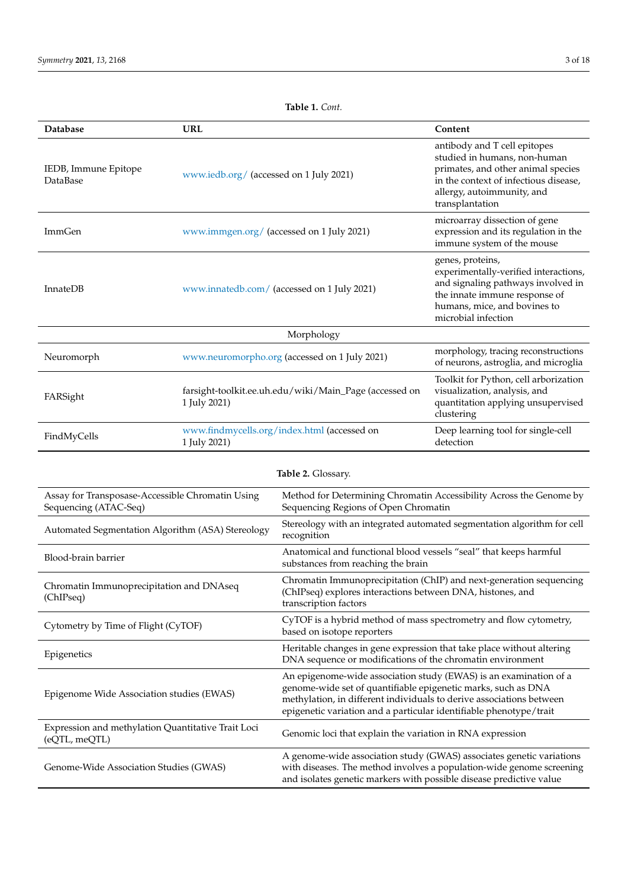<span id="page-2-0"></span>

| Database                                | <b>URL</b>                                                             | Content                                                                                                                                                                                      |  |
|-----------------------------------------|------------------------------------------------------------------------|----------------------------------------------------------------------------------------------------------------------------------------------------------------------------------------------|--|
| IEDB, Immune Epitope<br><b>DataBase</b> | www.iedb.org/ (accessed on 1 July 2021)                                | antibody and T cell epitopes<br>studied in humans, non-human<br>primates, and other animal species<br>in the context of infectious disease,<br>allergy, autoimmunity, and<br>transplantation |  |
| <b>ImmGen</b>                           | www.immgen.org/ (accessed on 1 July 2021)                              | microarray dissection of gene<br>expression and its regulation in the<br>immune system of the mouse                                                                                          |  |
| <b>InnateDB</b>                         | www.innatedb.com/ (accessed on 1 July 2021)                            | genes, proteins,<br>experimentally-verified interactions,<br>and signaling pathways involved in<br>the innate immune response of<br>humans, mice, and bovines to<br>microbial infection      |  |
| Morphology                              |                                                                        |                                                                                                                                                                                              |  |
| Neuromorph                              | www.neuromorpho.org (accessed on 1 July 2021)                          | morphology, tracing reconstructions<br>of neurons, astroglia, and microglia                                                                                                                  |  |
| FARSight                                | farsight-toolkit.ee.uh.edu/wiki/Main_Page (accessed on<br>1 July 2021) | Toolkit for Python, cell arborization<br>visualization, analysis, and<br>quantitation applying unsupervised<br>clustering                                                                    |  |
| FindMyCells                             | www.findmycells.org/index.html (accessed on<br>1 July 2021)            | Deep learning tool for single-cell<br>detection                                                                                                                                              |  |

| Table 2. Glossary.                                                        |                                                                                                                                                                                                                                                                                  |  |
|---------------------------------------------------------------------------|----------------------------------------------------------------------------------------------------------------------------------------------------------------------------------------------------------------------------------------------------------------------------------|--|
| Assay for Transposase-Accessible Chromatin Using<br>Sequencing (ATAC-Seq) | Method for Determining Chromatin Accessibility Across the Genome by<br>Sequencing Regions of Open Chromatin                                                                                                                                                                      |  |
| Automated Segmentation Algorithm (ASA) Stereology                         | Stereology with an integrated automated segmentation algorithm for cell<br>recognition                                                                                                                                                                                           |  |
| Blood-brain barrier                                                       | Anatomical and functional blood vessels "seal" that keeps harmful<br>substances from reaching the brain                                                                                                                                                                          |  |
| Chromatin Immunoprecipitation and DNAseq<br>(ChIPseq)                     | Chromatin Immunoprecipitation (ChIP) and next-generation sequencing<br>(ChIPseq) explores interactions between DNA, histones, and<br>transcription factors                                                                                                                       |  |
| Cytometry by Time of Flight (CyTOF)                                       | CyTOF is a hybrid method of mass spectrometry and flow cytometry,<br>based on isotope reporters                                                                                                                                                                                  |  |
| Epigenetics                                                               | Heritable changes in gene expression that take place without altering<br>DNA sequence or modifications of the chromatin environment                                                                                                                                              |  |
| Epigenome Wide Association studies (EWAS)                                 | An epigenome-wide association study (EWAS) is an examination of a<br>genome-wide set of quantifiable epigenetic marks, such as DNA<br>methylation, in different individuals to derive associations between<br>epigenetic variation and a particular identifiable phenotype/trait |  |
| Expression and methylation Quantitative Trait Loci<br>(eQTL, meQTL)       | Genomic loci that explain the variation in RNA expression                                                                                                                                                                                                                        |  |
| Genome-Wide Association Studies (GWAS)                                    | A genome-wide association study (GWAS) associates genetic variations<br>with diseases. The method involves a population-wide genome screening<br>and isolates genetic markers with possible disease predictive value                                                             |  |

# **Table 1.** *Cont.*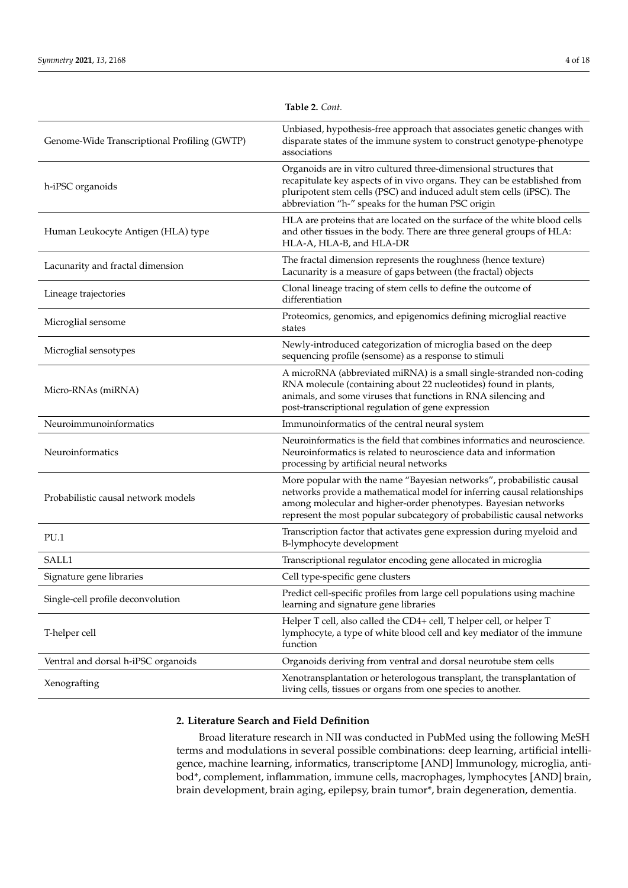<span id="page-3-0"></span>

|                                              | <b>Iddie 2.</b> Com.                                                                                                                                                                                                                                                                          |
|----------------------------------------------|-----------------------------------------------------------------------------------------------------------------------------------------------------------------------------------------------------------------------------------------------------------------------------------------------|
| Genome-Wide Transcriptional Profiling (GWTP) | Unbiased, hypothesis-free approach that associates genetic changes with<br>disparate states of the immune system to construct genotype-phenotype<br>associations                                                                                                                              |
| h-iPSC organoids                             | Organoids are in vitro cultured three-dimensional structures that<br>recapitulate key aspects of in vivo organs. They can be established from<br>pluripotent stem cells (PSC) and induced adult stem cells (iPSC). The<br>abbreviation "h-" speaks for the human PSC origin                   |
| Human Leukocyte Antigen (HLA) type           | HLA are proteins that are located on the surface of the white blood cells<br>and other tissues in the body. There are three general groups of HLA:<br>HLA-A, HLA-B, and HLA-DR                                                                                                                |
| Lacunarity and fractal dimension             | The fractal dimension represents the roughness (hence texture)<br>Lacunarity is a measure of gaps between (the fractal) objects                                                                                                                                                               |
| Lineage trajectories                         | Clonal lineage tracing of stem cells to define the outcome of<br>differentiation                                                                                                                                                                                                              |
| Microglial sensome                           | Proteomics, genomics, and epigenomics defining microglial reactive<br>states                                                                                                                                                                                                                  |
| Microglial sensotypes                        | Newly-introduced categorization of microglia based on the deep<br>sequencing profile (sensome) as a response to stimuli                                                                                                                                                                       |
| Micro-RNAs (miRNA)                           | A microRNA (abbreviated miRNA) is a small single-stranded non-coding<br>RNA molecule (containing about 22 nucleotides) found in plants,<br>animals, and some viruses that functions in RNA silencing and<br>post-transcriptional regulation of gene expression                                |
| Neuroimmunoinformatics                       | Immunoinformatics of the central neural system                                                                                                                                                                                                                                                |
| Neuroinformatics                             | Neuroinformatics is the field that combines informatics and neuroscience.<br>Neuroinformatics is related to neuroscience data and information<br>processing by artificial neural networks                                                                                                     |
| Probabilistic causal network models          | More popular with the name "Bayesian networks", probabilistic causal<br>networks provide a mathematical model for inferring causal relationships<br>among molecular and higher-order phenotypes. Bayesian networks<br>represent the most popular subcategory of probabilistic causal networks |
| PU.1                                         | Transcription factor that activates gene expression during myeloid and<br>B-lymphocyte development                                                                                                                                                                                            |
| SALL1                                        | Transcriptional regulator encoding gene allocated in microglia                                                                                                                                                                                                                                |
| Signature gene libraries                     | Cell type-specific gene clusters                                                                                                                                                                                                                                                              |
| Single-cell profile deconvolution            | Predict cell-specific profiles from large cell populations using machine<br>learning and signature gene libraries                                                                                                                                                                             |
| T-helper cell                                | Helper T cell, also called the CD4+ cell, T helper cell, or helper T<br>lymphocyte, a type of white blood cell and key mediator of the immune<br>function                                                                                                                                     |
| Ventral and dorsal h-iPSC organoids          | Organoids deriving from ventral and dorsal neurotube stem cells                                                                                                                                                                                                                               |
| Xenografting                                 | Xenotransplantation or heterologous transplant, the transplantation of<br>living cells, tissues or organs from one species to another.                                                                                                                                                        |

# **2. Literature Search and Field Definition**

Broad literature research in NII was conducted in PubMed using the following MeSH terms and modulations in several possible combinations: deep learning, artificial intelligence, machine learning, informatics, transcriptome [AND] Immunology, microglia, antibod\*, complement, inflammation, immune cells, macrophages, lymphocytes [AND] brain, brain development, brain aging, epilepsy, brain tumor\*, brain degeneration, dementia.

**Table 2.** *Cont.*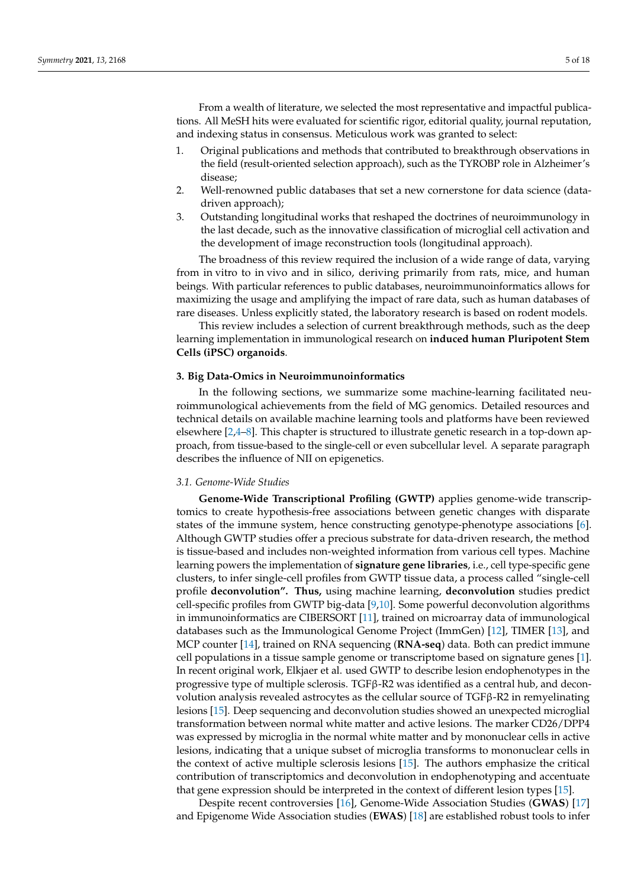From a wealth of literature, we selected the most representative and impactful publications. All MeSH hits were evaluated for scientific rigor, editorial quality, journal reputation, and indexing status in consensus. Meticulous work was granted to select:

- 1. Original publications and methods that contributed to breakthrough observations in the field (result-oriented selection approach), such as the TYROBP role in Alzheimer's disease;
- 2. Well-renowned public databases that set a new cornerstone for data science (datadriven approach);
- 3. Outstanding longitudinal works that reshaped the doctrines of neuroimmunology in the last decade, such as the innovative classification of microglial cell activation and the development of image reconstruction tools (longitudinal approach).

The broadness of this review required the inclusion of a wide range of data, varying from in vitro to in vivo and in silico, deriving primarily from rats, mice, and human beings. With particular references to public databases, neuroimmunoinformatics allows for maximizing the usage and amplifying the impact of rare data, such as human databases of rare diseases. Unless explicitly stated, the laboratory research is based on rodent models.

This review includes a selection of current breakthrough methods, such as the deep learning implementation in immunological research on **induced human Pluripotent Stem Cells (iPSC) organoids**.

## **3. Big Data-Omics in Neuroimmunoinformatics**

In the following sections, we summarize some machine-learning facilitated neuroimmunological achievements from the field of MG genomics. Detailed resources and technical details on available machine learning tools and platforms have been reviewed elsewhere [\[2,](#page-12-1)[4](#page-12-3)[–8\]](#page-13-0). This chapter is structured to illustrate genetic research in a top-down approach, from tissue-based to the single-cell or even subcellular level. A separate paragraph describes the influence of NII on epigenetics.

#### *3.1. Genome-Wide Studies*

**Genome-Wide Transcriptional Profiling (GWTP)** applies genome-wide transcriptomics to create hypothesis-free associations between genetic changes with disparate states of the immune system, hence constructing genotype-phenotype associations [\[6\]](#page-12-4). Although GWTP studies offer a precious substrate for data-driven research, the method is tissue-based and includes non-weighted information from various cell types. Machine learning powers the implementation of **signature gene libraries**, i.e., cell type-specific gene clusters, to infer single-cell profiles from GWTP tissue data, a process called "single-cell profile **deconvolution". Thus,** using machine learning, **deconvolution** studies predict cell-specific profiles from GWTP big-data [\[9](#page-13-1)[,10\]](#page-13-2). Some powerful deconvolution algorithms in immunoinformatics are CIBERSORT [\[11\]](#page-13-3), trained on microarray data of immunological databases such as the Immunological Genome Project (ImmGen) [\[12\]](#page-13-4), TIMER [\[13\]](#page-13-5), and MCP counter [\[14\]](#page-13-6), trained on RNA sequencing (**RNA-seq**) data. Both can predict immune cell populations in a tissue sample genome or transcriptome based on signature genes [\[1\]](#page-12-0). In recent original work, Elkjaer et al. used GWTP to describe lesion endophenotypes in the progressive type of multiple sclerosis. TGF $\beta$ -R2 was identified as a central hub, and deconvolution analysis revealed astrocytes as the cellular source of TGFβ-R2 in remyelinating lesions [\[15\]](#page-13-7). Deep sequencing and deconvolution studies showed an unexpected microglial transformation between normal white matter and active lesions. The marker CD26/DPP4 was expressed by microglia in the normal white matter and by mononuclear cells in active lesions, indicating that a unique subset of microglia transforms to mononuclear cells in the context of active multiple sclerosis lesions [\[15\]](#page-13-7). The authors emphasize the critical contribution of transcriptomics and deconvolution in endophenotyping and accentuate that gene expression should be interpreted in the context of different lesion types [\[15\]](#page-13-7).

Despite recent controversies [\[16\]](#page-13-8), Genome-Wide Association Studies (**GWAS**) [\[17\]](#page-13-9) and Epigenome Wide Association studies (**EWAS**) [\[18\]](#page-13-10) are established robust tools to infer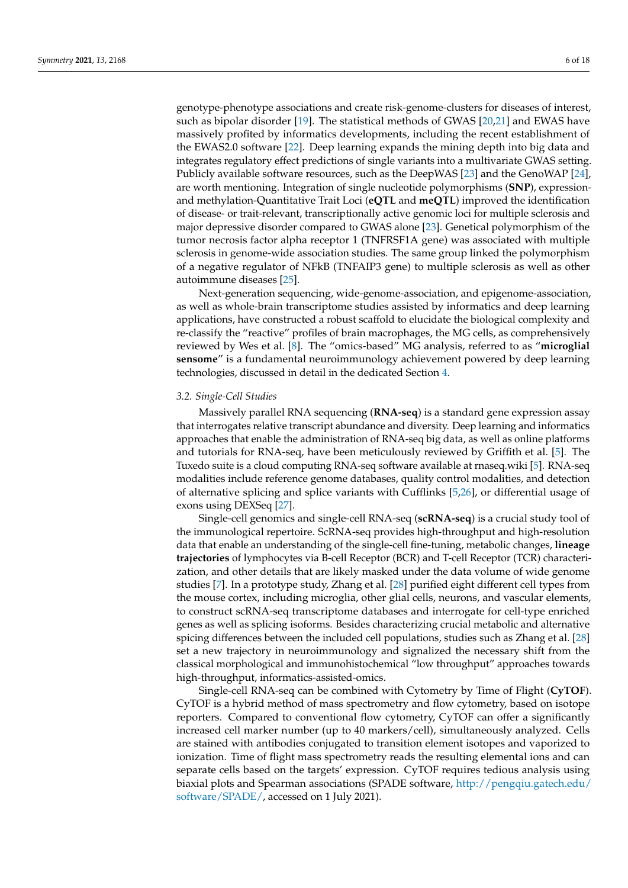genotype-phenotype associations and create risk-genome-clusters for diseases of interest, such as bipolar disorder [\[19\]](#page-13-11). The statistical methods of GWAS [\[20](#page-13-12)[,21\]](#page-13-13) and EWAS have massively profited by informatics developments, including the recent establishment of the EWAS2.0 software [\[22\]](#page-13-14). Deep learning expands the mining depth into big data and integrates regulatory effect predictions of single variants into a multivariate GWAS setting. Publicly available software resources, such as the DeepWAS [\[23\]](#page-13-15) and the GenoWAP [\[24\]](#page-13-16), are worth mentioning. Integration of single nucleotide polymorphisms (**SNP**), expressionand methylation-Quantitative Trait Loci (**eQTL** and **meQTL**) improved the identification of disease- or trait-relevant, transcriptionally active genomic loci for multiple sclerosis and major depressive disorder compared to GWAS alone [\[23\]](#page-13-15). Genetical polymorphism of the tumor necrosis factor alpha receptor 1 (TNFRSF1A gene) was associated with multiple sclerosis in genome-wide association studies. The same group linked the polymorphism of a negative regulator of NFkB (TNFAIP3 gene) to multiple sclerosis as well as other autoimmune diseases [\[25\]](#page-13-17).

Next-generation sequencing, wide-genome-association, and epigenome-association, as well as whole-brain transcriptome studies assisted by informatics and deep learning applications, have constructed a robust scaffold to elucidate the biological complexity and re-classify the "reactive" profiles of brain macrophages, the MG cells, as comprehensively reviewed by Wes et al. [\[8\]](#page-13-0). The "omics-based" MG analysis, referred to as "**microglial sensome**" is a fundamental neuroimmunology achievement powered by deep learning technologies, discussed in detail in the dedicated Section [4.](#page-6-0)

#### *3.2. Single-Cell Studies*

Massively parallel RNA sequencing (**RNA-seq**) is a standard gene expression assay that interrogates relative transcript abundance and diversity. Deep learning and informatics approaches that enable the administration of RNA-seq big data, as well as online platforms and tutorials for RNA-seq, have been meticulously reviewed by Griffith et al. [\[5\]](#page-12-5). The Tuxedo suite is a cloud computing RNA-seq software available at rnaseq.wiki [\[5\]](#page-12-5). RNA-seq modalities include reference genome databases, quality control modalities, and detection of alternative splicing and splice variants with Cufflinks [\[5](#page-12-5)[,26\]](#page-13-18), or differential usage of exons using DEXSeq [\[27\]](#page-13-19).

Single-cell genomics and single-cell RNA-seq (**scRNA-seq**) is a crucial study tool of the immunological repertoire. ScRNA-seq provides high-throughput and high-resolution data that enable an understanding of the single-cell fine-tuning, metabolic changes, **lineage trajectories** of lymphocytes via B-cell Receptor (BCR) and T-cell Receptor (TCR) characterization, and other details that are likely masked under the data volume of wide genome studies [\[7\]](#page-12-6). In a prototype study, Zhang et al. [\[28\]](#page-13-20) purified eight different cell types from the mouse cortex, including microglia, other glial cells, neurons, and vascular elements, to construct scRNA-seq transcriptome databases and interrogate for cell-type enriched genes as well as splicing isoforms. Besides characterizing crucial metabolic and alternative spicing differences between the included cell populations, studies such as Zhang et al. [\[28\]](#page-13-20) set a new trajectory in neuroimmunology and signalized the necessary shift from the classical morphological and immunohistochemical "low throughput" approaches towards high-throughput, informatics-assisted-omics.

Single-cell RNA-seq can be combined with Cytometry by Time of Flight (**CyTOF**). CyTOF is a hybrid method of mass spectrometry and flow cytometry, based on isotope reporters. Compared to conventional flow cytometry, CyTOF can offer a significantly increased cell marker number (up to 40 markers/cell), simultaneously analyzed. Cells are stained with antibodies conjugated to transition element isotopes and vaporized to ionization. Time of flight mass spectrometry reads the resulting elemental ions and can separate cells based on the targets' expression. CyTOF requires tedious analysis using biaxial plots and Spearman associations (SPADE software, [http://pengqiu.gatech.edu/](http://pengqiu.gatech.edu/software/SPADE/) [software/SPADE/,](http://pengqiu.gatech.edu/software/SPADE/) accessed on 1 July 2021).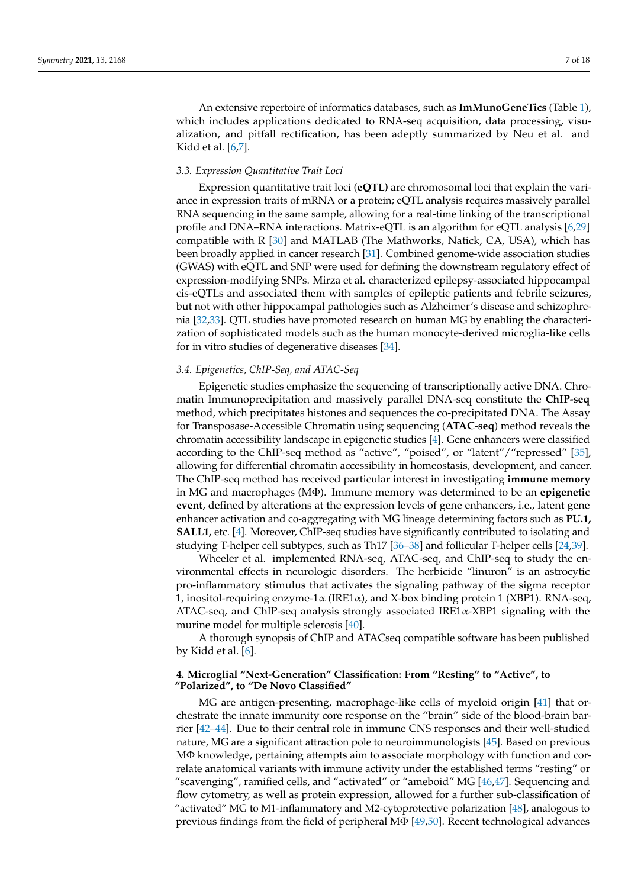An extensive repertoire of informatics databases, such as **ImMunoGeneTics** (Table [1\)](#page-2-0), which includes applications dedicated to RNA-seq acquisition, data processing, visualization, and pitfall rectification, has been adeptly summarized by Neu et al. and Kidd et al. [\[6,](#page-12-4)[7\]](#page-12-6).

## *3.3. Expression Quantitative Trait Loci*

Expression quantitative trait loci (**eQTL)** are chromosomal loci that explain the variance in expression traits of mRNA or a protein; eQTL analysis requires massively parallel RNA sequencing in the same sample, allowing for a real-time linking of the transcriptional profile and DNA–RNA interactions. Matrix-eQTL is an algorithm for eQTL analysis [\[6,](#page-12-4)[29\]](#page-13-21) compatible with R [\[30\]](#page-13-22) and MATLAB (The Mathworks, Natick, CA, USA), which has been broadly applied in cancer research [\[31\]](#page-13-23). Combined genome-wide association studies (GWAS) with eQTL and SNP were used for defining the downstream regulatory effect of expression-modifying SNPs. Mirza et al. characterized epilepsy-associated hippocampal cis-eQTLs and associated them with samples of epileptic patients and febrile seizures, but not with other hippocampal pathologies such as Alzheimer's disease and schizophrenia [\[32](#page-13-24)[,33\]](#page-13-25). QTL studies have promoted research on human MG by enabling the characterization of sophisticated models such as the human monocyte-derived microglia-like cells for in vitro studies of degenerative diseases [\[34\]](#page-14-0).

#### *3.4. Epigenetics, ChIP-Seq, and ATAC-Seq*

Epigenetic studies emphasize the sequencing of transcriptionally active DNA. Chromatin Immunoprecipitation and massively parallel DNA-seq constitute the **ChIP-seq** method, which precipitates histones and sequences the co-precipitated DNA. The Assay for Transposase-Accessible Chromatin using sequencing (**ATAC-seq**) method reveals the chromatin accessibility landscape in epigenetic studies [\[4\]](#page-12-3). Gene enhancers were classified according to the ChIP-seq method as "active", "poised", or "latent"/"repressed" [\[35\]](#page-14-1), allowing for differential chromatin accessibility in homeostasis, development, and cancer. The ChIP-seq method has received particular interest in investigating **immune memory** in MG and macrophages (MΦ). Immune memory was determined to be an **epigenetic event**, defined by alterations at the expression levels of gene enhancers, i.e., latent gene enhancer activation and co-aggregating with MG lineage determining factors such as **PU.1, SALL1, etc.** [\[4\]](#page-12-3). Moreover, ChIP-seq studies have significantly contributed to isolating and studying T-helper cell subtypes, such as Th17 [\[36–](#page-14-2)[38\]](#page-14-3) and follicular T-helper cells [\[24](#page-13-16)[,39\]](#page-14-4).

Wheeler et al. implemented RNA-seq, ATAC-seq, and ChIP-seq to study the environmental effects in neurologic disorders. The herbicide "linuron" is an astrocytic pro-inflammatory stimulus that activates the signaling pathway of the sigma receptor 1, inositol-requiring enzyme-1 $\alpha$  (IRE1 $\alpha$ ), and X-box binding protein 1 (XBP1). RNA-seq, ATAC-seq, and ChIP-seq analysis strongly associated IRE1α-XBP1 signaling with the murine model for multiple sclerosis [\[40\]](#page-14-5).

A thorough synopsis of ChIP and ATACseq compatible software has been published by Kidd et al. [\[6\]](#page-12-4).

# <span id="page-6-0"></span>**4. Microglial "Next-Generation" Classification: From "Resting" to "Active", to "Polarized", to "De Novo Classified"**

MG are antigen-presenting, macrophage-like cells of myeloid origin [\[41\]](#page-14-6) that orchestrate the innate immunity core response on the "brain" side of the blood-brain barrier [\[42](#page-14-7)[–44\]](#page-14-8). Due to their central role in immune CNS responses and their well-studied nature, MG are a significant attraction pole to neuroimmunologists [\[45\]](#page-14-9). Based on previous MΦ knowledge, pertaining attempts aim to associate morphology with function and correlate anatomical variants with immune activity under the established terms "resting" or "scavenging", ramified cells, and "activated" or "ameboid" MG [\[46,](#page-14-10)[47\]](#page-14-11). Sequencing and flow cytometry, as well as protein expression, allowed for a further sub-classification of "activated" MG to M1-inflammatory and M2-cytoprotective polarization [\[48\]](#page-14-12), analogous to previous findings from the field of peripheral  $M\Phi$  [\[49,](#page-14-13)[50\]](#page-14-14). Recent technological advances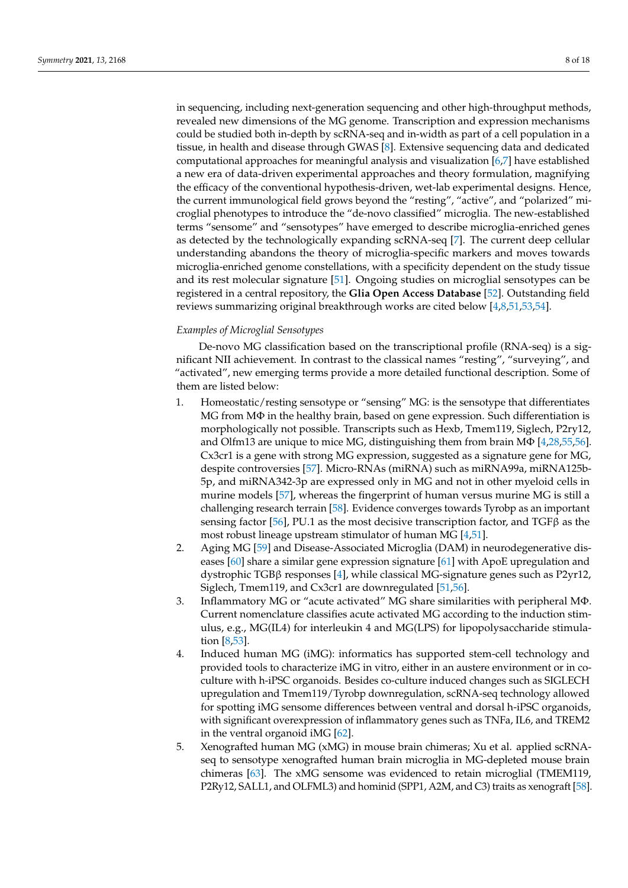in sequencing, including next-generation sequencing and other high-throughput methods, revealed new dimensions of the MG genome. Transcription and expression mechanisms could be studied both in-depth by scRNA-seq and in-width as part of a cell population in a tissue, in health and disease through GWAS [\[8\]](#page-13-0). Extensive sequencing data and dedicated computational approaches for meaningful analysis and visualization [\[6](#page-12-4)[,7\]](#page-12-6) have established a new era of data-driven experimental approaches and theory formulation, magnifying the efficacy of the conventional hypothesis-driven, wet-lab experimental designs. Hence, the current immunological field grows beyond the "resting", "active", and "polarized" microglial phenotypes to introduce the "de-novo classified" microglia. The new-established terms "sensome" and "sensotypes" have emerged to describe microglia-enriched genes as detected by the technologically expanding scRNA-seq [\[7\]](#page-12-6). The current deep cellular understanding abandons the theory of microglia-specific markers and moves towards microglia-enriched genome constellations, with a specificity dependent on the study tissue and its rest molecular signature [\[51\]](#page-14-15). Ongoing studies on microglial sensotypes can be registered in a central repository, the **Glia Open Access Database** [\[52\]](#page-14-16). Outstanding field reviews summarizing original breakthrough works are cited below [\[4,](#page-12-3)[8,](#page-13-0)[51](#page-14-15)[,53](#page-14-17)[,54\]](#page-14-18).

# *Examples of Microglial Sensotypes*

De-novo MG classification based on the transcriptional profile (RNA-seq) is a significant NII achievement. In contrast to the classical names "resting", "surveying", and "activated", new emerging terms provide a more detailed functional description. Some of them are listed below:

- 1. Homeostatic/resting sensotype or "sensing" MG: is the sensotype that differentiates MG from MΦ in the healthy brain, based on gene expression. Such differentiation is morphologically not possible. Transcripts such as Hexb, Tmem119, Siglech, P2ry12, and Olfm13 are unique to mice MG, distinguishing them from brain M $\Phi$  [\[4](#page-12-3)[,28](#page-13-20)[,55](#page-14-19)[,56\]](#page-14-20). Cx3cr1 is a gene with strong MG expression, suggested as a signature gene for MG, despite controversies [\[57\]](#page-14-21). Micro-RNAs (miRNA) such as miRNA99a, miRNA125b-5p, and miRNA342-3p are expressed only in MG and not in other myeloid cells in murine models [\[57\]](#page-14-21), whereas the fingerprint of human versus murine MG is still a challenging research terrain [\[58\]](#page-14-22). Evidence converges towards Tyrobp as an important sensing factor [\[56\]](#page-14-20), PU.1 as the most decisive transcription factor, and  $TGF\beta$  as the most robust lineage upstream stimulator of human MG [\[4,](#page-12-3)[51\]](#page-14-15).
- 2. Aging MG [\[59\]](#page-15-0) and Disease-Associated Microglia (DAM) in neurodegenerative diseases [\[60\]](#page-15-1) share a similar gene expression signature [\[61\]](#page-15-2) with ApoE upregulation and dystrophic TGBβ responses [\[4\]](#page-12-3), while classical MG-signature genes such as P2yr12, Siglech, Tmem119, and Cx3cr1 are downregulated [\[51,](#page-14-15)[56\]](#page-14-20).
- 3. Inflammatory MG or "acute activated" MG share similarities with peripheral MΦ. Current nomenclature classifies acute activated MG according to the induction stimulus, e.g., MG(IL4) for interleukin 4 and MG(LPS) for lipopolysaccharide stimulation [\[8](#page-13-0)[,53\]](#page-14-17).
- 4. Induced human MG (iMG): informatics has supported stem-cell technology and provided tools to characterize iMG in vitro, either in an austere environment or in coculture with h-iPSC organoids. Besides co-culture induced changes such as SIGLECH upregulation and Tmem119/Tyrobp downregulation, scRNA-seq technology allowed for spotting iMG sensome differences between ventral and dorsal h-iPSC organoids, with significant overexpression of inflammatory genes such as TNFa, IL6, and TREM2 in the ventral organoid iMG [\[62\]](#page-15-3).
- 5. Xenografted human MG (xMG) in mouse brain chimeras; Xu et al. applied scRNAseq to sensotype xenografted human brain microglia in MG-depleted mouse brain chimeras [\[63\]](#page-15-4). The xMG sensome was evidenced to retain microglial (TMEM119, P2Ry12, SALL1, and OLFML3) and hominid (SPP1, A2M, and C3) traits as xenograft [\[58\]](#page-14-22).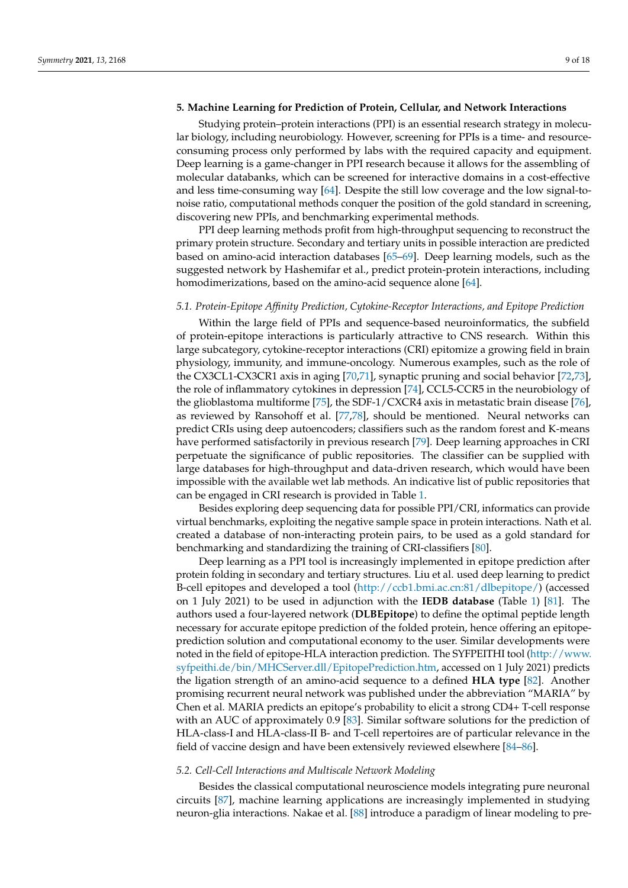# **5. Machine Learning for Prediction of Protein, Cellular, and Network Interactions**

Studying protein–protein interactions (PPI) is an essential research strategy in molecular biology, including neurobiology. However, screening for PPIs is a time- and resourceconsuming process only performed by labs with the required capacity and equipment. Deep learning is a game-changer in PPI research because it allows for the assembling of molecular databanks, which can be screened for interactive domains in a cost-effective and less time-consuming way [\[64\]](#page-15-5). Despite the still low coverage and the low signal-tonoise ratio, computational methods conquer the position of the gold standard in screening, discovering new PPIs, and benchmarking experimental methods.

PPI deep learning methods profit from high-throughput sequencing to reconstruct the primary protein structure. Secondary and tertiary units in possible interaction are predicted based on amino-acid interaction databases [\[65–](#page-15-6)[69\]](#page-15-7). Deep learning models, such as the suggested network by Hashemifar et al., predict protein-protein interactions, including homodimerizations, based on the amino-acid sequence alone [\[64\]](#page-15-5).

#### *5.1. Protein-Epitope Affinity Prediction, Cytokine-Receptor Interactions, and Epitope Prediction*

Within the large field of PPIs and sequence-based neuroinformatics, the subfield of protein-epitope interactions is particularly attractive to CNS research. Within this large subcategory, cytokine-receptor interactions (CRI) epitomize a growing field in brain physiology, immunity, and immune-oncology. Numerous examples, such as the role of the CX3CL1-CX3CR1 axis in aging [\[70](#page-15-8)[,71\]](#page-15-9), synaptic pruning and social behavior [\[72,](#page-15-10)[73\]](#page-15-11), the role of inflammatory cytokines in depression [\[74\]](#page-15-12), CCL5-CCR5 in the neurobiology of the glioblastoma multiforme [\[75\]](#page-15-13), the SDF-1/CXCR4 axis in metastatic brain disease [\[76\]](#page-15-14), as reviewed by Ransohoff et al. [\[77](#page-15-15)[,78\]](#page-15-16), should be mentioned. Neural networks can predict CRIs using deep autoencoders; classifiers such as the random forest and K-means have performed satisfactorily in previous research [\[79\]](#page-15-17). Deep learning approaches in CRI perpetuate the significance of public repositories. The classifier can be supplied with large databases for high-throughput and data-driven research, which would have been impossible with the available wet lab methods. An indicative list of public repositories that can be engaged in CRI research is provided in Table [1.](#page-2-0)

Besides exploring deep sequencing data for possible PPI/CRI, informatics can provide virtual benchmarks, exploiting the negative sample space in protein interactions. Nath et al. created a database of non-interacting protein pairs, to be used as a gold standard for benchmarking and standardizing the training of CRI-classifiers [\[80\]](#page-15-18).

Deep learning as a PPI tool is increasingly implemented in epitope prediction after protein folding in secondary and tertiary structures. Liu et al. used deep learning to predict B-cell epitopes and developed a tool [\(http://ccb1.bmi.ac.cn:81/dlbepitope/\)](http://ccb1.bmi.ac.cn:81/dlbepitope/) (accessed on 1 July 2021) to be used in adjunction with the **IEDB database** (Table [1\)](#page-2-0) [\[81\]](#page-15-19). The authors used a four-layered network (**DLBEpitope**) to define the optimal peptide length necessary for accurate epitope prediction of the folded protein, hence offering an epitopeprediction solution and computational economy to the user. Similar developments were noted in the field of epitope-HLA interaction prediction. The SYFPEITHI tool [\(http://www.](http://www.syfpeithi.de/bin/MHCServer.dll/EpitopePrediction.htm) [syfpeithi.de/bin/MHCServer.dll/EpitopePrediction.htm,](http://www.syfpeithi.de/bin/MHCServer.dll/EpitopePrediction.htm) accessed on 1 July 2021) predicts the ligation strength of an amino-acid sequence to a defined **HLA type** [\[82\]](#page-15-20). Another promising recurrent neural network was published under the abbreviation "MARIA" by Chen et al. MARIA predicts an epitope's probability to elicit a strong CD4+ T-cell response with an AUC of approximately 0.9 [\[83\]](#page-15-21). Similar software solutions for the prediction of HLA-class-I and HLA-class-II B- and T-cell repertoires are of particular relevance in the field of vaccine design and have been extensively reviewed elsewhere [\[84–](#page-15-22)[86\]](#page-16-0).

#### *5.2. Cell-Cell Interactions and Multiscale Network Modeling*

Besides the classical computational neuroscience models integrating pure neuronal circuits [\[87\]](#page-16-1), machine learning applications are increasingly implemented in studying neuron-glia interactions. Nakae et al. [\[88\]](#page-16-2) introduce a paradigm of linear modeling to pre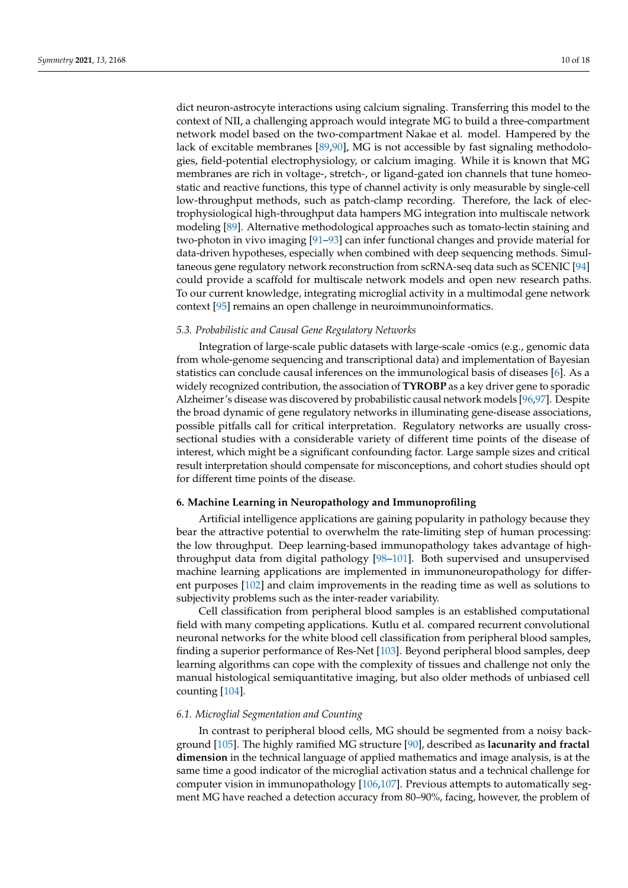dict neuron-astrocyte interactions using calcium signaling. Transferring this model to the context of NII, a challenging approach would integrate MG to build a three-compartment network model based on the two-compartment Nakae et al. model. Hampered by the lack of excitable membranes [\[89](#page-16-3)[,90\]](#page-16-4), MG is not accessible by fast signaling methodologies, field-potential electrophysiology, or calcium imaging. While it is known that MG membranes are rich in voltage-, stretch-, or ligand-gated ion channels that tune homeostatic and reactive functions, this type of channel activity is only measurable by single-cell low-throughput methods, such as patch-clamp recording. Therefore, the lack of electrophysiological high-throughput data hampers MG integration into multiscale network modeling [\[89\]](#page-16-3). Alternative methodological approaches such as tomato-lectin staining and two-photon in vivo imaging [\[91](#page-16-5)[–93\]](#page-16-6) can infer functional changes and provide material for data-driven hypotheses, especially when combined with deep sequencing methods. Simultaneous gene regulatory network reconstruction from scRNA-seq data such as SCENIC [\[94\]](#page-16-7) could provide a scaffold for multiscale network models and open new research paths. To our current knowledge, integrating microglial activity in a multimodal gene network context [\[95\]](#page-16-8) remains an open challenge in neuroimmunoinformatics.

## *5.3. Probabilistic and Causal Gene Regulatory Networks*

Integration of large-scale public datasets with large-scale -omics (e.g., genomic data from whole-genome sequencing and transcriptional data) and implementation of Bayesian statistics can conclude causal inferences on the immunological basis of diseases [\[6\]](#page-12-4). As a widely recognized contribution, the association of **TYROBP** as a key driver gene to sporadic Alzheimer's disease was discovered by probabilistic causal network models [\[96](#page-16-9)[,97\]](#page-16-10). Despite the broad dynamic of gene regulatory networks in illuminating gene-disease associations, possible pitfalls call for critical interpretation. Regulatory networks are usually crosssectional studies with a considerable variety of different time points of the disease of interest, which might be a significant confounding factor. Large sample sizes and critical result interpretation should compensate for misconceptions, and cohort studies should opt for different time points of the disease.

# **6. Machine Learning in Neuropathology and Immunoprofiling**

Artificial intelligence applications are gaining popularity in pathology because they bear the attractive potential to overwhelm the rate-limiting step of human processing: the low throughput. Deep learning-based immunopathology takes advantage of highthroughput data from digital pathology [\[98–](#page-16-11)[101\]](#page-16-12). Both supervised and unsupervised machine learning applications are implemented in immunoneuropathology for different purposes [\[102\]](#page-16-13) and claim improvements in the reading time as well as solutions to subjectivity problems such as the inter-reader variability.

Cell classification from peripheral blood samples is an established computational field with many competing applications. Kutlu et al. compared recurrent convolutional neuronal networks for the white blood cell classification from peripheral blood samples, finding a superior performance of Res-Net [\[103\]](#page-16-14). Beyond peripheral blood samples, deep learning algorithms can cope with the complexity of tissues and challenge not only the manual histological semiquantitative imaging, but also older methods of unbiased cell counting [\[104\]](#page-16-15).

# *6.1. Microglial Segmentation and Counting*

In contrast to peripheral blood cells, MG should be segmented from a noisy background [\[105\]](#page-16-16). The highly ramified MG structure [\[90\]](#page-16-4), described as **lacunarity and fractal dimension** in the technical language of applied mathematics and image analysis, is at the same time a good indicator of the microglial activation status and a technical challenge for computer vision in immunopathology [\[106](#page-16-17)[,107\]](#page-16-18). Previous attempts to automatically segment MG have reached a detection accuracy from 80–90%, facing, however, the problem of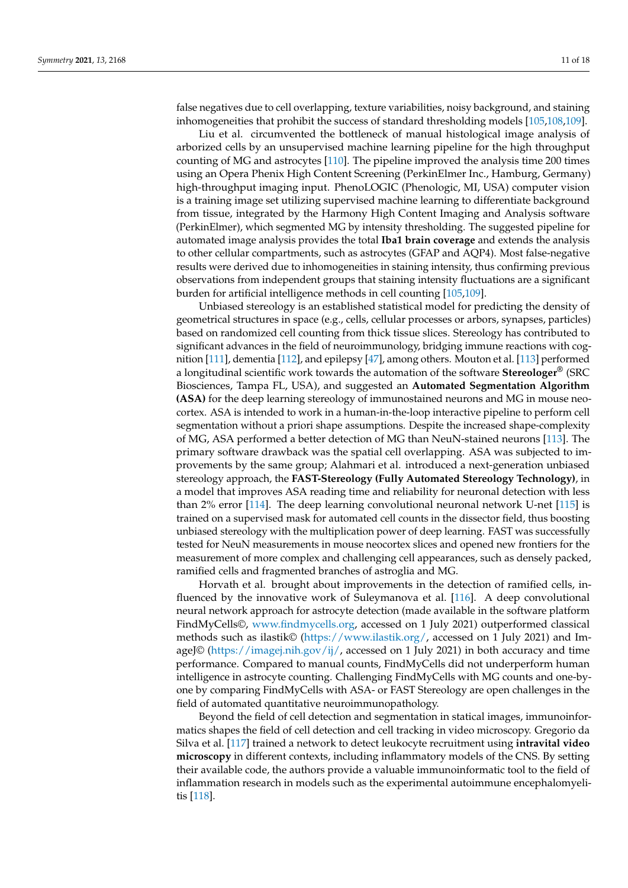false negatives due to cell overlapping, texture variabilities, noisy background, and staining inhomogeneities that prohibit the success of standard thresholding models [\[105](#page-16-16)[,108](#page-16-19)[,109\]](#page-16-20).

Liu et al. circumvented the bottleneck of manual histological image analysis of arborized cells by an unsupervised machine learning pipeline for the high throughput counting of MG and astrocytes [\[110\]](#page-16-21). The pipeline improved the analysis time 200 times using an Opera Phenix High Content Screening (PerkinElmer Inc., Hamburg, Germany) high-throughput imaging input. PhenoLOGIC (Phenologic, MI, USA) computer vision is a training image set utilizing supervised machine learning to differentiate background from tissue, integrated by the Harmony High Content Imaging and Analysis software (PerkinElmer), which segmented MG by intensity thresholding. The suggested pipeline for automated image analysis provides the total **Iba1 brain coverage** and extends the analysis to other cellular compartments, such as astrocytes (GFAP and AQP4). Most false-negative results were derived due to inhomogeneities in staining intensity, thus confirming previous observations from independent groups that staining intensity fluctuations are a significant burden for artificial intelligence methods in cell counting [\[105](#page-16-16)[,109\]](#page-16-20).

Unbiased stereology is an established statistical model for predicting the density of geometrical structures in space (e.g., cells, cellular processes or arbors, synapses, particles) based on randomized cell counting from thick tissue slices. Stereology has contributed to significant advances in the field of neuroimmunology, bridging immune reactions with cognition [\[111\]](#page-17-0), dementia [\[112\]](#page-17-1), and epilepsy [\[47\]](#page-14-11), among others. Mouton et al. [\[113\]](#page-17-2) performed a longitudinal scientific work towards the automation of the software **Stereologer®** (SRC Biosciences, Tampa FL, USA), and suggested an **Automated Segmentation Algorithm (ASA)** for the deep learning stereology of immunostained neurons and MG in mouse neocortex. ASA is intended to work in a human-in-the-loop interactive pipeline to perform cell segmentation without a priori shape assumptions. Despite the increased shape-complexity of MG, ASA performed a better detection of MG than NeuN-stained neurons [\[113\]](#page-17-2). The primary software drawback was the spatial cell overlapping. ASA was subjected to improvements by the same group; Alahmari et al. introduced a next-generation unbiased stereology approach, the **FAST-Stereology (Fully Automated Stereology Technology)**, in a model that improves ASA reading time and reliability for neuronal detection with less than 2% error [\[114\]](#page-17-3). The deep learning convolutional neuronal network U-net [\[115\]](#page-17-4) is trained on a supervised mask for automated cell counts in the dissector field, thus boosting unbiased stereology with the multiplication power of deep learning. FAST was successfully tested for NeuN measurements in mouse neocortex slices and opened new frontiers for the measurement of more complex and challenging cell appearances, such as densely packed, ramified cells and fragmented branches of astroglia and MG.

Horvath et al. brought about improvements in the detection of ramified cells, influenced by the innovative work of Suleymanova et al. [\[116\]](#page-17-5). A deep convolutional neural network approach for astrocyte detection (made available in the software platform FindMyCells©, [www.findmycells.org,](www.findmycells.org) accessed on 1 July 2021) outperformed classical methods such as ilastik© [\(https://www.ilastik.org/,](https://www.ilastik.org/) accessed on 1 July 2021) and Im-ageJ© [\(https://imagej.nih.gov/ij/,](https://imagej.nih.gov/ij/) accessed on 1 July 2021) in both accuracy and time performance. Compared to manual counts, FindMyCells did not underperform human intelligence in astrocyte counting. Challenging FindMyCells with MG counts and one-byone by comparing FindMyCells with ASA- or FAST Stereology are open challenges in the field of automated quantitative neuroimmunopathology.

Beyond the field of cell detection and segmentation in statical images, immunoinformatics shapes the field of cell detection and cell tracking in video microscopy. Gregorio da Silva et al. [\[117\]](#page-17-6) trained a network to detect leukocyte recruitment using **intravital video microscopy** in different contexts, including inflammatory models of the CNS. By setting their available code, the authors provide a valuable immunoinformatic tool to the field of inflammation research in models such as the experimental autoimmune encephalomyelitis [\[118\]](#page-17-7).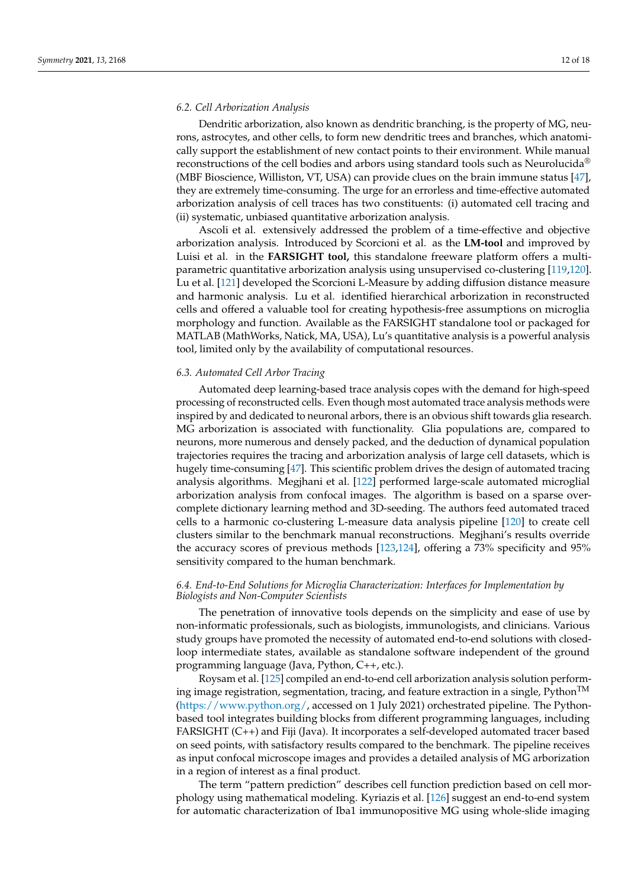#### *6.2. Cell Arborization Analysis*

Dendritic arborization, also known as dendritic branching, is the property of MG, neurons, astrocytes, and other cells, to form new dendritic trees and branches, which anatomically support the establishment of new contact points to their environment. While manual reconstructions of the cell bodies and arbors using standard tools such as Neurolucida<sup>®</sup> (MBF Bioscience, Williston, VT, USA) can provide clues on the brain immune status [\[47\]](#page-14-11), they are extremely time-consuming. The urge for an errorless and time-effective automated arborization analysis of cell traces has two constituents: (i) automated cell tracing and (ii) systematic, unbiased quantitative arborization analysis.

Ascoli et al. extensively addressed the problem of a time-effective and objective arborization analysis. Introduced by Scorcioni et al. as the **LM-tool** and improved by Luisi et al. in the **FARSIGHT tool,** this standalone freeware platform offers a multiparametric quantitative arborization analysis using unsupervised co-clustering [\[119,](#page-17-8)[120\]](#page-17-9). Lu et al. [\[121\]](#page-17-10) developed the Scorcioni L-Measure by adding diffusion distance measure and harmonic analysis. Lu et al. identified hierarchical arborization in reconstructed cells and offered a valuable tool for creating hypothesis-free assumptions on microglia morphology and function. Available as the FARSIGHT standalone tool or packaged for MATLAB (MathWorks, Natick, MA, USA), Lu's quantitative analysis is a powerful analysis tool, limited only by the availability of computational resources.

# *6.3. Automated Cell Arbor Tracing*

Automated deep learning-based trace analysis copes with the demand for high-speed processing of reconstructed cells. Even though most automated trace analysis methods were inspired by and dedicated to neuronal arbors, there is an obvious shift towards glia research. MG arborization is associated with functionality. Glia populations are, compared to neurons, more numerous and densely packed, and the deduction of dynamical population trajectories requires the tracing and arborization analysis of large cell datasets, which is hugely time-consuming [\[47\]](#page-14-11). This scientific problem drives the design of automated tracing analysis algorithms. Megjhani et al. [\[122\]](#page-17-11) performed large-scale automated microglial arborization analysis from confocal images. The algorithm is based on a sparse overcomplete dictionary learning method and 3D-seeding. The authors feed automated traced cells to a harmonic co-clustering L-measure data analysis pipeline [\[120\]](#page-17-9) to create cell clusters similar to the benchmark manual reconstructions. Megjhani's results override the accuracy scores of previous methods [\[123,](#page-17-12)[124\]](#page-17-13), offering a 73% specificity and 95% sensitivity compared to the human benchmark.

# *6.4. End-to-End Solutions for Microglia Characterization: Interfaces for Implementation by Biologists and Non-Computer Scientists*

The penetration of innovative tools depends on the simplicity and ease of use by non-informatic professionals, such as biologists, immunologists, and clinicians. Various study groups have promoted the necessity of automated end-to-end solutions with closedloop intermediate states, available as standalone software independent of the ground programming language (Java, Python, C++, etc.).

Roysam et al. [\[125\]](#page-17-14) compiled an end-to-end cell arborization analysis solution performing image registration, segmentation, tracing, and feature extraction in a single, Python<sup>TM</sup> [\(https://www.python.org/,](https://www.python.org/) accessed on 1 July 2021) orchestrated pipeline. The Pythonbased tool integrates building blocks from different programming languages, including FARSIGHT (C++) and Fiji (Java). It incorporates a self-developed automated tracer based on seed points, with satisfactory results compared to the benchmark. The pipeline receives as input confocal microscope images and provides a detailed analysis of MG arborization in a region of interest as a final product.

The term "pattern prediction" describes cell function prediction based on cell morphology using mathematical modeling. Kyriazis et al. [\[126\]](#page-17-15) suggest an end-to-end system for automatic characterization of Iba1 immunopositive MG using whole-slide imaging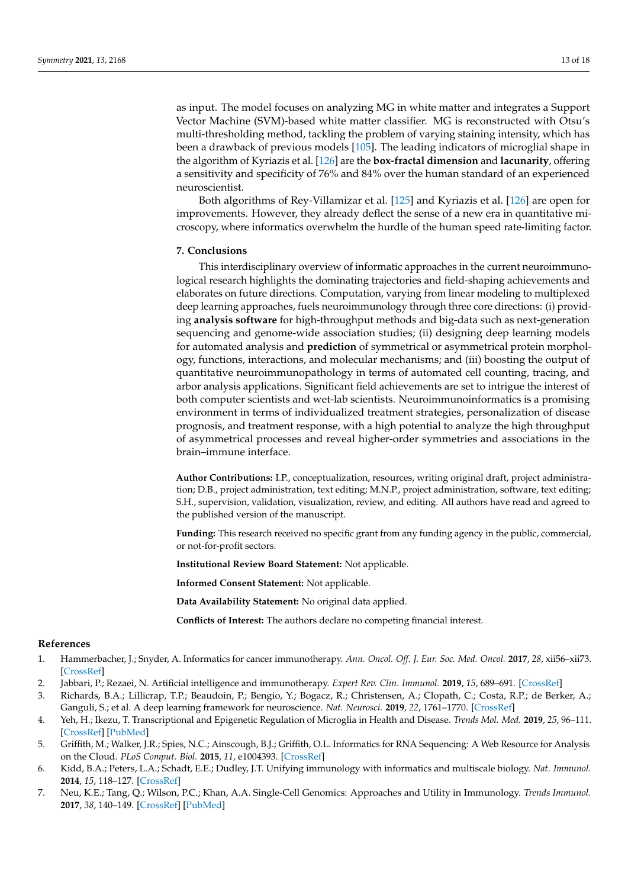as input. The model focuses on analyzing MG in white matter and integrates a Support Vector Machine (SVM)-based white matter classifier. MG is reconstructed with Otsu's multi-thresholding method, tackling the problem of varying staining intensity, which has been a drawback of previous models [\[105\]](#page-16-16). The leading indicators of microglial shape in the algorithm of Kyriazis et al. [\[126\]](#page-17-15) are the **box-fractal dimension** and **lacunarity**, offering a sensitivity and specificity of 76% and 84% over the human standard of an experienced neuroscientist.

Both algorithms of Rey-Villamizar et al. [\[125\]](#page-17-14) and Kyriazis et al. [\[126\]](#page-17-15) are open for improvements. However, they already deflect the sense of a new era in quantitative microscopy, where informatics overwhelm the hurdle of the human speed rate-limiting factor.

# **7. Conclusions**

This interdisciplinary overview of informatic approaches in the current neuroimmunological research highlights the dominating trajectories and field-shaping achievements and elaborates on future directions. Computation, varying from linear modeling to multiplexed deep learning approaches, fuels neuroimmunology through three core directions: (i) providing **analysis software** for high-throughput methods and big-data such as next-generation sequencing and genome-wide association studies; (ii) designing deep learning models for automated analysis and **prediction** of symmetrical or asymmetrical protein morphology, functions, interactions, and molecular mechanisms; and (iii) boosting the output of quantitative neuroimmunopathology in terms of automated cell counting, tracing, and arbor analysis applications. Significant field achievements are set to intrigue the interest of both computer scientists and wet-lab scientists. Neuroimmunoinformatics is a promising environment in terms of individualized treatment strategies, personalization of disease prognosis, and treatment response, with a high potential to analyze the high throughput of asymmetrical processes and reveal higher-order symmetries and associations in the brain–immune interface.

**Author Contributions:** I.P., conceptualization, resources, writing original draft, project administration; D.B., project administration, text editing; M.N.P., project administration, software, text editing; S.H., supervision, validation, visualization, review, and editing. All authors have read and agreed to the published version of the manuscript.

**Funding:** This research received no specific grant from any funding agency in the public, commercial, or not-for-profit sectors.

**Institutional Review Board Statement:** Not applicable.

**Informed Consent Statement:** Not applicable.

**Data Availability Statement:** No original data applied.

**Conflicts of Interest:** The authors declare no competing financial interest.

# **References**

- <span id="page-12-0"></span>1. Hammerbacher, J.; Snyder, A. Informatics for cancer immunotherapy. *Ann. Oncol. Off. J. Eur. Soc. Med. Oncol.* **2017**, *28*, xii56–xii73. [\[CrossRef\]](http://doi.org/10.1093/annonc/mdx682)
- <span id="page-12-1"></span>2. Jabbari, P.; Rezaei, N. Artificial intelligence and immunotherapy. *Expert Rev. Clin. Immunol.* **2019**, *15*, 689–691. [\[CrossRef\]](http://doi.org/10.1080/1744666X.2019.1623670)
- <span id="page-12-2"></span>3. Richards, B.A.; Lillicrap, T.P.; Beaudoin, P.; Bengio, Y.; Bogacz, R.; Christensen, A.; Clopath, C.; Costa, R.P.; de Berker, A.; Ganguli, S.; et al. A deep learning framework for neuroscience. *Nat. Neurosci.* **2019**, *22*, 1761–1770. [\[CrossRef\]](http://doi.org/10.1038/s41593-019-0520-2)
- <span id="page-12-3"></span>4. Yeh, H.; Ikezu, T. Transcriptional and Epigenetic Regulation of Microglia in Health and Disease. *Trends Mol. Med.* **2019**, *25*, 96–111. [\[CrossRef\]](http://doi.org/10.1016/j.molmed.2018.11.004) [\[PubMed\]](http://www.ncbi.nlm.nih.gov/pubmed/30578089)
- <span id="page-12-5"></span>5. Griffith, M.; Walker, J.R.; Spies, N.C.; Ainscough, B.J.; Griffith, O.L. Informatics for RNA Sequencing: A Web Resource for Analysis on the Cloud. *PLoS Comput. Biol.* **2015**, *11*, e1004393. [\[CrossRef\]](http://doi.org/10.1371/journal.pcbi.1004393)
- <span id="page-12-4"></span>6. Kidd, B.A.; Peters, L.A.; Schadt, E.E.; Dudley, J.T. Unifying immunology with informatics and multiscale biology. *Nat. Immunol.* **2014**, *15*, 118–127. [\[CrossRef\]](http://doi.org/10.1038/ni.2787)
- <span id="page-12-6"></span>7. Neu, K.E.; Tang, Q.; Wilson, P.C.; Khan, A.A. Single-Cell Genomics: Approaches and Utility in Immunology. *Trends Immunol.* **2017**, *38*, 140–149. [\[CrossRef\]](http://doi.org/10.1016/j.it.2016.12.001) [\[PubMed\]](http://www.ncbi.nlm.nih.gov/pubmed/28094102)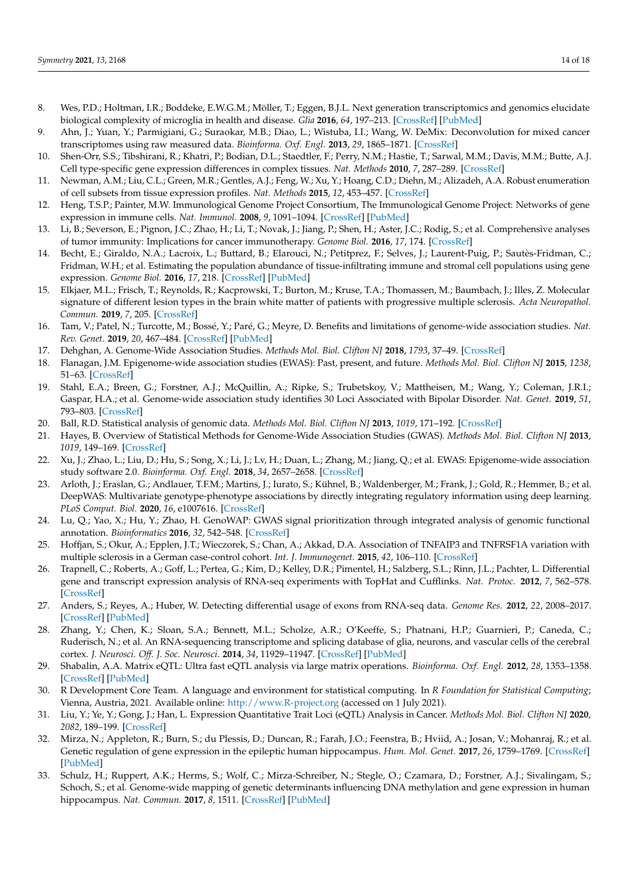- <span id="page-13-0"></span>8. Wes, P.D.; Holtman, I.R.; Boddeke, E.W.G.M.; Möller, T.; Eggen, B.J.L. Next generation transcriptomics and genomics elucidate biological complexity of microglia in health and disease. *Glia* **2016**, *64*, 197–213. [\[CrossRef\]](http://doi.org/10.1002/glia.22866) [\[PubMed\]](http://www.ncbi.nlm.nih.gov/pubmed/26040959)
- <span id="page-13-1"></span>9. Ahn, J.; Yuan, Y.; Parmigiani, G.; Suraokar, M.B.; Diao, L.; Wistuba, I.I.; Wang, W. DeMix: Deconvolution for mixed cancer transcriptomes using raw measured data. *Bioinforma. Oxf. Engl.* **2013**, *29*, 1865–1871. [\[CrossRef\]](http://doi.org/10.1093/bioinformatics/btt301)
- <span id="page-13-2"></span>10. Shen-Orr, S.S.; Tibshirani, R.; Khatri, P.; Bodian, D.L.; Staedtler, F.; Perry, N.M.; Hastie, T.; Sarwal, M.M.; Davis, M.M.; Butte, A.J. Cell type-specific gene expression differences in complex tissues. *Nat. Methods* **2010**, *7*, 287–289. [\[CrossRef\]](http://doi.org/10.1038/nmeth.1439)
- <span id="page-13-3"></span>11. Newman, A.M.; Liu, C.L.; Green, M.R.; Gentles, A.J.; Feng, W.; Xu, Y.; Hoang, C.D.; Diehn, M.; Alizadeh, A.A. Robust enumeration of cell subsets from tissue expression profiles. *Nat. Methods* **2015**, *12*, 453–457. [\[CrossRef\]](http://doi.org/10.1038/nmeth.3337)
- <span id="page-13-4"></span>12. Heng, T.S.P.; Painter, M.W. Immunological Genome Project Consortium, The Immunological Genome Project: Networks of gene expression in immune cells. *Nat. Immunol.* **2008**, *9*, 1091–1094. [\[CrossRef\]](http://doi.org/10.1038/ni1008-1091) [\[PubMed\]](http://www.ncbi.nlm.nih.gov/pubmed/18800157)
- <span id="page-13-5"></span>13. Li, B.; Severson, E.; Pignon, J.C.; Zhao, H.; Li, T.; Novak, J.; Jiang, P.; Shen, H.; Aster, J.C.; Rodig, S.; et al. Comprehensive analyses of tumor immunity: Implications for cancer immunotherapy. *Genome Biol.* **2016**, *17*, 174. [\[CrossRef\]](http://doi.org/10.1186/s13059-016-1028-7)
- <span id="page-13-6"></span>14. Becht, E.; Giraldo, N.A.; Lacroix, L.; Buttard, B.; Elarouci, N.; Petitprez, F.; Selves, J.; Laurent-Puig, P.; Sautès-Fridman, C.; Fridman, W.H.; et al. Estimating the population abundance of tissue-infiltrating immune and stromal cell populations using gene expression. *Genome Biol.* **2016**, *17*, 218. [\[CrossRef\]](http://doi.org/10.1186/s13059-016-1070-5) [\[PubMed\]](http://www.ncbi.nlm.nih.gov/pubmed/27765066)
- <span id="page-13-7"></span>15. Elkjaer, M.L.; Frisch, T.; Reynolds, R.; Kacprowski, T.; Burton, M.; Kruse, T.A.; Thomassen, M.; Baumbach, J.; Illes, Z. Molecular signature of different lesion types in the brain white matter of patients with progressive multiple sclerosis. *Acta Neuropathol. Commun.* **2019**, *7*, 205. [\[CrossRef\]](http://doi.org/10.1186/s40478-019-0855-7)
- <span id="page-13-8"></span>16. Tam, V.; Patel, N.; Turcotte, M.; Bossé, Y.; Paré, G.; Meyre, D. Benefits and limitations of genome-wide association studies. *Nat. Rev. Genet.* **2019**, *20*, 467–484. [\[CrossRef\]](http://doi.org/10.1038/s41576-019-0127-1) [\[PubMed\]](http://www.ncbi.nlm.nih.gov/pubmed/31068683)
- <span id="page-13-9"></span>17. Dehghan, A. Genome-Wide Association Studies. *Methods Mol. Biol. Clifton NJ* **2018**, *1793*, 37–49. [\[CrossRef\]](http://doi.org/10.1007/978-1-4939-7868-7_4)
- <span id="page-13-10"></span>18. Flanagan, J.M. Epigenome-wide association studies (EWAS): Past, present, and future. *Methods Mol. Biol. Clifton NJ* **2015**, *1238*, 51–63. [\[CrossRef\]](http://doi.org/10.1007/978-1-4939-1804-1_3)
- <span id="page-13-11"></span>19. Stahl, E.A.; Breen, G.; Forstner, A.J.; McQuillin, A.; Ripke, S.; Trubetskoy, V.; Mattheisen, M.; Wang, Y.; Coleman, J.R.I.; Gaspar, H.A.; et al. Genome-wide association study identifies 30 Loci Associated with Bipolar Disorder. *Nat. Genet.* **2019**, *51*, 793–803. [\[CrossRef\]](http://doi.org/10.1038/s41588-019-0397-8)
- <span id="page-13-12"></span>20. Ball, R.D. Statistical analysis of genomic data. *Methods Mol. Biol. Clifton NJ* **2013**, *1019*, 171–192. [\[CrossRef\]](http://doi.org/10.1007/978-1-62703-447-0_7)
- <span id="page-13-13"></span>21. Hayes, B. Overview of Statistical Methods for Genome-Wide Association Studies (GWAS). *Methods Mol. Biol. Clifton NJ* **2013**, *1019*, 149–169. [\[CrossRef\]](http://doi.org/10.1007/978-1-62703-447-0_6)
- <span id="page-13-14"></span>22. Xu, J.; Zhao, L.; Liu, D.; Hu, S.; Song, X.; Li, J.; Lv, H.; Duan, L.; Zhang, M.; Jiang, Q.; et al. EWAS: Epigenome-wide association study software 2.0. *Bioinforma. Oxf. Engl.* **2018**, *34*, 2657–2658. [\[CrossRef\]](http://doi.org/10.1093/bioinformatics/bty163)
- <span id="page-13-15"></span>23. Arloth, J.; Eraslan, G.; Andlauer, T.F.M.; Martins, J.; Iurato, S.; Kühnel, B.; Waldenberger, M.; Frank, J.; Gold, R.; Hemmer, B.; et al. DeepWAS: Multivariate genotype-phenotype associations by directly integrating regulatory information using deep learning. *PLoS Comput. Biol.* **2020**, *16*, e1007616. [\[CrossRef\]](http://doi.org/10.1371/journal.pcbi.1007616)
- <span id="page-13-16"></span>24. Lu, Q.; Yao, X.; Hu, Y.; Zhao, H. GenoWAP: GWAS signal prioritization through integrated analysis of genomic functional annotation. *Bioinformatics* **2016**, *32*, 542–548. [\[CrossRef\]](http://doi.org/10.1093/bioinformatics/btv610)
- <span id="page-13-17"></span>25. Hoffjan, S.; Okur, A.; Epplen, J.T.; Wieczorek, S.; Chan, A.; Akkad, D.A. Association of TNFAIP3 and TNFRSF1A variation with multiple sclerosis in a German case-control cohort. *Int. J. Immunogenet.* **2015**, *42*, 106–110. [\[CrossRef\]](http://doi.org/10.1111/iji.12183)
- <span id="page-13-18"></span>26. Trapnell, C.; Roberts, A.; Goff, L.; Pertea, G.; Kim, D.; Kelley, D.R.; Pimentel, H.; Salzberg, S.L.; Rinn, J.L.; Pachter, L. Differential gene and transcript expression analysis of RNA-seq experiments with TopHat and Cufflinks. *Nat. Protoc.* **2012**, *7*, 562–578. [\[CrossRef\]](http://doi.org/10.1038/nprot.2012.016)
- <span id="page-13-19"></span>27. Anders, S.; Reyes, A.; Huber, W. Detecting differential usage of exons from RNA-seq data. *Genome Res.* **2012**, *22*, 2008–2017. [\[CrossRef\]](http://doi.org/10.1101/gr.133744.111) [\[PubMed\]](http://www.ncbi.nlm.nih.gov/pubmed/22722343)
- <span id="page-13-20"></span>28. Zhang, Y.; Chen, K.; Sloan, S.A.; Bennett, M.L.; Scholze, A.R.; O'Keeffe, S.; Phatnani, H.P.; Guarnieri, P.; Caneda, C.; Ruderisch, N.; et al. An RNA-sequencing transcriptome and splicing database of glia, neurons, and vascular cells of the cerebral cortex. *J. Neurosci. Off. J. Soc. Neurosci.* **2014**, *34*, 11929–11947. [\[CrossRef\]](http://doi.org/10.1523/JNEUROSCI.1860-14.2014) [\[PubMed\]](http://www.ncbi.nlm.nih.gov/pubmed/25186741)
- <span id="page-13-21"></span>29. Shabalin, A.A. Matrix eQTL: Ultra fast eQTL analysis via large matrix operations. *Bioinforma. Oxf. Engl.* **2012**, *28*, 1353–1358. [\[CrossRef\]](http://doi.org/10.1093/bioinformatics/bts163) [\[PubMed\]](http://www.ncbi.nlm.nih.gov/pubmed/22492648)
- <span id="page-13-22"></span>30. R Development Core Team. A language and environment for statistical computing. In *R Foundation for Statistical Computing*; Vienna, Austria, 2021. Available online: <http://www.R-project.org> (accessed on 1 July 2021).
- <span id="page-13-23"></span>31. Liu, Y.; Ye, Y.; Gong, J.; Han, L. Expression Quantitative Trait Loci (eQTL) Analysis in Cancer. *Methods Mol. Biol. Clifton NJ* **2020**, *2082*, 189–199. [\[CrossRef\]](http://doi.org/10.1007/978-1-0716-0026-9_13)
- <span id="page-13-24"></span>32. Mirza, N.; Appleton, R.; Burn, S.; du Plessis, D.; Duncan, R.; Farah, J.O.; Feenstra, B.; Hviid, A.; Josan, V.; Mohanraj, R.; et al. Genetic regulation of gene expression in the epileptic human hippocampus. *Hum. Mol. Genet.* **2017**, *26*, 1759–1769. [\[CrossRef\]](http://doi.org/10.1093/hmg/ddx061) [\[PubMed\]](http://www.ncbi.nlm.nih.gov/pubmed/28334860)
- <span id="page-13-25"></span>33. Schulz, H.; Ruppert, A.K.; Herms, S.; Wolf, C.; Mirza-Schreiber, N.; Stegle, O.; Czamara, D.; Forstner, A.J.; Sivalingam, S.; Schoch, S.; et al. Genome-wide mapping of genetic determinants influencing DNA methylation and gene expression in human hippocampus. *Nat. Commun.* **2017**, *8*, 1511. [\[CrossRef\]](http://doi.org/10.1038/s41467-017-01818-4) [\[PubMed\]](http://www.ncbi.nlm.nih.gov/pubmed/29142228)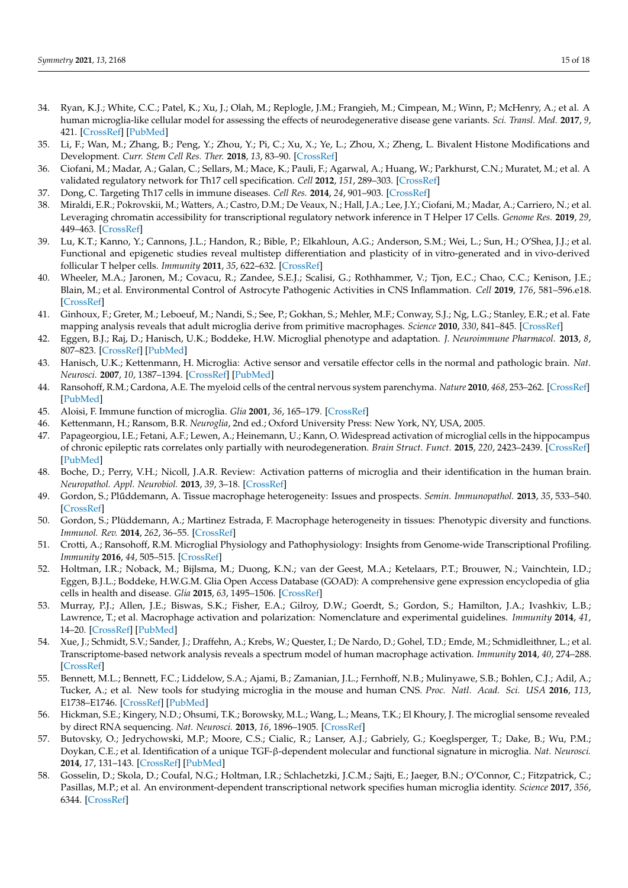- <span id="page-14-0"></span>34. Ryan, K.J.; White, C.C.; Patel, K.; Xu, J.; Olah, M.; Replogle, J.M.; Frangieh, M.; Cimpean, M.; Winn, P.; McHenry, A.; et al. A human microglia-like cellular model for assessing the effects of neurodegenerative disease gene variants. *Sci. Transl. Med.* **2017**, *9*, 421. [\[CrossRef\]](http://doi.org/10.1126/scitranslmed.aai7635) [\[PubMed\]](http://www.ncbi.nlm.nih.gov/pubmed/29263232)
- <span id="page-14-1"></span>35. Li, F.; Wan, M.; Zhang, B.; Peng, Y.; Zhou, Y.; Pi, C.; Xu, X.; Ye, L.; Zhou, X.; Zheng, L. Bivalent Histone Modifications and Development. *Curr. Stem Cell Res. Ther.* **2018**, *13*, 83–90. [\[CrossRef\]](http://doi.org/10.2174/1574888X12666170123144743)
- <span id="page-14-2"></span>36. Ciofani, M.; Madar, A.; Galan, C.; Sellars, M.; Mace, K.; Pauli, F.; Agarwal, A.; Huang, W.; Parkhurst, C.N.; Muratet, M.; et al. A validated regulatory network for Th17 cell specification. *Cell* **2012**, *151*, 289–303. [\[CrossRef\]](http://doi.org/10.1016/j.cell.2012.09.016)
- 37. Dong, C. Targeting Th17 cells in immune diseases. *Cell Res.* **2014**, *24*, 901–903. [\[CrossRef\]](http://doi.org/10.1038/cr.2014.92)
- <span id="page-14-3"></span>38. Miraldi, E.R.; Pokrovskii, M.; Watters, A.; Castro, D.M.; De Veaux, N.; Hall, J.A.; Lee, J.Y.; Ciofani, M.; Madar, A.; Carriero, N.; et al. Leveraging chromatin accessibility for transcriptional regulatory network inference in T Helper 17 Cells. *Genome Res.* **2019**, *29*, 449–463. [\[CrossRef\]](http://doi.org/10.1101/gr.238253.118)
- <span id="page-14-4"></span>39. Lu, K.T.; Kanno, Y.; Cannons, J.L.; Handon, R.; Bible, P.; Elkahloun, A.G.; Anderson, S.M.; Wei, L.; Sun, H.; O'Shea, J.J.; et al. Functional and epigenetic studies reveal multistep differentiation and plasticity of in vitro-generated and in vivo-derived follicular T helper cells. *Immunity* **2011**, *35*, 622–632. [\[CrossRef\]](http://doi.org/10.1016/j.immuni.2011.07.015)
- <span id="page-14-5"></span>40. Wheeler, M.A.; Jaronen, M.; Covacu, R.; Zandee, S.E.J.; Scalisi, G.; Rothhammer, V.; Tjon, E.C.; Chao, C.C.; Kenison, J.E.; Blain, M.; et al. Environmental Control of Astrocyte Pathogenic Activities in CNS Inflammation. *Cell* **2019**, *176*, 581–596.e18. [\[CrossRef\]](http://doi.org/10.1016/j.cell.2018.12.012)
- <span id="page-14-6"></span>41. Ginhoux, F.; Greter, M.; Leboeuf, M.; Nandi, S.; See, P.; Gokhan, S.; Mehler, M.F.; Conway, S.J.; Ng, L.G.; Stanley, E.R.; et al. Fate mapping analysis reveals that adult microglia derive from primitive macrophages. *Science* **2010**, *330*, 841–845. [\[CrossRef\]](http://doi.org/10.1126/science.1194637)
- <span id="page-14-7"></span>42. Eggen, B.J.; Raj, D.; Hanisch, U.K.; Boddeke, H.W. Microglial phenotype and adaptation. *J. Neuroimmune Pharmacol.* **2013**, *8*, 807–823. [\[CrossRef\]](http://doi.org/10.1007/s11481-013-9490-4) [\[PubMed\]](http://www.ncbi.nlm.nih.gov/pubmed/23881706)
- 43. Hanisch, U.K.; Kettenmann, H. Microglia: Active sensor and versatile effector cells in the normal and pathologic brain. *Nat. Neurosci.* **2007**, *10*, 1387–1394. [\[CrossRef\]](http://doi.org/10.1038/nn1997) [\[PubMed\]](http://www.ncbi.nlm.nih.gov/pubmed/17965659)
- <span id="page-14-8"></span>44. Ransohoff, R.M.; Cardona, A.E. The myeloid cells of the central nervous system parenchyma. *Nature* **2010**, *468*, 253–262. [\[CrossRef\]](http://doi.org/10.1038/nature09615) [\[PubMed\]](http://www.ncbi.nlm.nih.gov/pubmed/21068834)
- <span id="page-14-9"></span>45. Aloisi, F. Immune function of microglia. *Glia* **2001**, *36*, 165–179. [\[CrossRef\]](http://doi.org/10.1002/glia.1106)
- <span id="page-14-10"></span>46. Kettenmann, H.; Ransom, B.R. *Neuroglia*, 2nd ed.; Oxford University Press: New York, NY, USA, 2005.
- <span id="page-14-11"></span>47. Papageorgiou, I.E.; Fetani, A.F.; Lewen, A.; Heinemann, U.; Kann, O. Widespread activation of microglial cells in the hippocampus of chronic epileptic rats correlates only partially with neurodegeneration. *Brain Struct. Funct.* **2015**, *220*, 2423–2439. [\[CrossRef\]](http://doi.org/10.1007/s00429-014-0802-0) [\[PubMed\]](http://www.ncbi.nlm.nih.gov/pubmed/24878824)
- <span id="page-14-12"></span>48. Boche, D.; Perry, V.H.; Nicoll, J.A.R. Review: Activation patterns of microglia and their identification in the human brain. *Neuropathol. Appl. Neurobiol.* **2013**, *39*, 3–18. [\[CrossRef\]](http://doi.org/10.1111/nan.12011)
- <span id="page-14-13"></span>49. Gordon, S.; Pl ˝uddemann, A. Tissue macrophage heterogeneity: Issues and prospects. *Semin. Immunopathol.* **2013**, *35*, 533–540. [\[CrossRef\]](http://doi.org/10.1007/s00281-013-0386-4)
- <span id="page-14-14"></span>50. Gordon, S.; Plüddemann, A.; Martinez Estrada, F. Macrophage heterogeneity in tissues: Phenotypic diversity and functions. *Immunol. Rev.* **2014**, *262*, 36–55. [\[CrossRef\]](http://doi.org/10.1111/imr.12223)
- <span id="page-14-15"></span>51. Crotti, A.; Ransohoff, R.M. Microglial Physiology and Pathophysiology: Insights from Genome-wide Transcriptional Profiling. *Immunity* **2016**, *44*, 505–515. [\[CrossRef\]](http://doi.org/10.1016/j.immuni.2016.02.013)
- <span id="page-14-16"></span>52. Holtman, I.R.; Noback, M.; Bijlsma, M.; Duong, K.N.; van der Geest, M.A.; Ketelaars, P.T.; Brouwer, N.; Vainchtein, I.D.; Eggen, B.J.L.; Boddeke, H.W.G.M. Glia Open Access Database (GOAD): A comprehensive gene expression encyclopedia of glia cells in health and disease. *Glia* **2015**, *63*, 1495–1506. [\[CrossRef\]](http://doi.org/10.1002/glia.22810)
- <span id="page-14-17"></span>53. Murray, P.J.; Allen, J.E.; Biswas, S.K.; Fisher, E.A.; Gilroy, D.W.; Goerdt, S.; Gordon, S.; Hamilton, J.A.; Ivashkiv, L.B.; Lawrence, T.; et al. Macrophage activation and polarization: Nomenclature and experimental guidelines. *Immunity* **2014**, *41*, 14–20. [\[CrossRef\]](http://doi.org/10.1016/j.immuni.2014.06.008) [\[PubMed\]](http://www.ncbi.nlm.nih.gov/pubmed/25035950)
- <span id="page-14-18"></span>54. Xue, J.; Schmidt, S.V.; Sander, J.; Draffehn, A.; Krebs, W.; Quester, I.; De Nardo, D.; Gohel, T.D.; Emde, M.; Schmidleithner, L.; et al. Transcriptome-based network analysis reveals a spectrum model of human macrophage activation. *Immunity* **2014**, *40*, 274–288. [\[CrossRef\]](http://doi.org/10.1016/j.immuni.2014.01.006)
- <span id="page-14-19"></span>55. Bennett, M.L.; Bennett, F.C.; Liddelow, S.A.; Ajami, B.; Zamanian, J.L.; Fernhoff, N.B.; Mulinyawe, S.B.; Bohlen, C.J.; Adil, A.; Tucker, A.; et al. New tools for studying microglia in the mouse and human CNS. *Proc. Natl. Acad. Sci. USA* **2016**, *113*, E1738–E1746. [\[CrossRef\]](http://doi.org/10.1073/pnas.1525528113) [\[PubMed\]](http://www.ncbi.nlm.nih.gov/pubmed/26884166)
- <span id="page-14-20"></span>56. Hickman, S.E.; Kingery, N.D.; Ohsumi, T.K.; Borowsky, M.L.; Wang, L.; Means, T.K.; El Khoury, J. The microglial sensome revealed by direct RNA sequencing. *Nat. Neurosci.* **2013**, *16*, 1896–1905. [\[CrossRef\]](http://doi.org/10.1038/nn.3554)
- <span id="page-14-21"></span>57. Butovsky, O.; Jedrychowski, M.P.; Moore, C.S.; Cialic, R.; Lanser, A.J.; Gabriely, G.; Koeglsperger, T.; Dake, B.; Wu, P.M.; Doykan, C.E.; et al. Identification of a unique TGF-β-dependent molecular and functional signature in microglia. *Nat. Neurosci.* **2014**, *17*, 131–143. [\[CrossRef\]](http://doi.org/10.1038/nn.3599) [\[PubMed\]](http://www.ncbi.nlm.nih.gov/pubmed/24316888)
- <span id="page-14-22"></span>58. Gosselin, D.; Skola, D.; Coufal, N.G.; Holtman, I.R.; Schlachetzki, J.C.M.; Sajti, E.; Jaeger, B.N.; O'Connor, C.; Fitzpatrick, C.; Pasillas, M.P.; et al. An environment-dependent transcriptional network specifies human microglia identity. *Science* **2017**, *356*, 6344. [\[CrossRef\]](http://doi.org/10.1126/science.aal3222)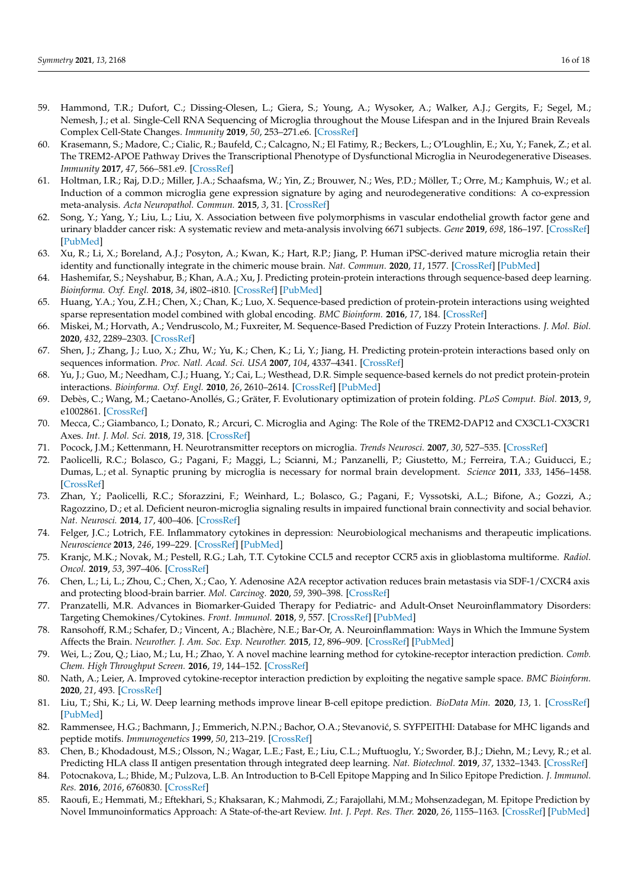- <span id="page-15-0"></span>59. Hammond, T.R.; Dufort, C.; Dissing-Olesen, L.; Giera, S.; Young, A.; Wysoker, A.; Walker, A.J.; Gergits, F.; Segel, M.; Nemesh, J.; et al. Single-Cell RNA Sequencing of Microglia throughout the Mouse Lifespan and in the Injured Brain Reveals Complex Cell-State Changes. *Immunity* **2019**, *50*, 253–271.e6. [\[CrossRef\]](http://doi.org/10.1016/j.immuni.2018.11.004)
- <span id="page-15-1"></span>60. Krasemann, S.; Madore, C.; Cialic, R.; Baufeld, C.; Calcagno, N.; El Fatimy, R.; Beckers, L.; O'Loughlin, E.; Xu, Y.; Fanek, Z.; et al. The TREM2-APOE Pathway Drives the Transcriptional Phenotype of Dysfunctional Microglia in Neurodegenerative Diseases. *Immunity* **2017**, *47*, 566–581.e9. [\[CrossRef\]](http://doi.org/10.1016/j.immuni.2017.08.008)
- <span id="page-15-2"></span>61. Holtman, I.R.; Raj, D.D.; Miller, J.A.; Schaafsma, W.; Yin, Z.; Brouwer, N.; Wes, P.D.; Möller, T.; Orre, M.; Kamphuis, W.; et al. Induction of a common microglia gene expression signature by aging and neurodegenerative conditions: A co-expression meta-analysis. *Acta Neuropathol. Commun.* **2015**, *3*, 31. [\[CrossRef\]](http://doi.org/10.1186/s40478-015-0203-5)
- <span id="page-15-3"></span>62. Song, Y.; Yang, Y.; Liu, L.; Liu, X. Association between five polymorphisms in vascular endothelial growth factor gene and urinary bladder cancer risk: A systematic review and meta-analysis involving 6671 subjects. *Gene* **2019**, *698*, 186–197. [\[CrossRef\]](http://doi.org/10.1016/j.gene.2019.02.070) [\[PubMed\]](http://www.ncbi.nlm.nih.gov/pubmed/30849545)
- <span id="page-15-4"></span>63. Xu, R.; Li, X.; Boreland, A.J.; Posyton, A.; Kwan, K.; Hart, R.P.; Jiang, P. Human iPSC-derived mature microglia retain their identity and functionally integrate in the chimeric mouse brain. *Nat. Commun.* **2020**, *11*, 1577. [\[CrossRef\]](http://doi.org/10.1038/s41467-020-15411-9) [\[PubMed\]](http://www.ncbi.nlm.nih.gov/pubmed/32221280)
- <span id="page-15-5"></span>64. Hashemifar, S.; Neyshabur, B.; Khan, A.A.; Xu, J. Predicting protein-protein interactions through sequence-based deep learning. *Bioinforma. Oxf. Engl.* **2018**, *34*, i802–i810. [\[CrossRef\]](http://doi.org/10.1093/bioinformatics/bty573) [\[PubMed\]](http://www.ncbi.nlm.nih.gov/pubmed/30423091)
- <span id="page-15-6"></span>65. Huang, Y.A.; You, Z.H.; Chen, X.; Chan, K.; Luo, X. Sequence-based prediction of protein-protein interactions using weighted sparse representation model combined with global encoding. *BMC Bioinform.* **2016**, *17*, 184. [\[CrossRef\]](http://doi.org/10.1186/s12859-016-1035-4)
- 66. Miskei, M.; Horvath, A.; Vendruscolo, M.; Fuxreiter, M. Sequence-Based Prediction of Fuzzy Protein Interactions. *J. Mol. Biol.* **2020**, *432*, 2289–2303. [\[CrossRef\]](http://doi.org/10.1016/j.jmb.2020.02.017)
- 67. Shen, J.; Zhang, J.; Luo, X.; Zhu, W.; Yu, K.; Chen, K.; Li, Y.; Jiang, H. Predicting protein-protein interactions based only on sequences information. *Proc. Natl. Acad. Sci. USA* **2007**, *104*, 4337–4341. [\[CrossRef\]](http://doi.org/10.1073/pnas.0607879104)
- 68. Yu, J.; Guo, M.; Needham, C.J.; Huang, Y.; Cai, L.; Westhead, D.R. Simple sequence-based kernels do not predict protein-protein interactions. *Bioinforma. Oxf. Engl.* **2010**, *26*, 2610–2614. [\[CrossRef\]](http://doi.org/10.1093/bioinformatics/btq483) [\[PubMed\]](http://www.ncbi.nlm.nih.gov/pubmed/20801913)
- <span id="page-15-7"></span>69. Debès, C.; Wang, M.; Caetano-Anollés, G.; Gräter, F. Evolutionary optimization of protein folding. *PLoS Comput. Biol.* **2013**, *9*, e1002861. [\[CrossRef\]](http://doi.org/10.1371/journal.pcbi.1002861)
- <span id="page-15-8"></span>70. Mecca, C.; Giambanco, I.; Donato, R.; Arcuri, C. Microglia and Aging: The Role of the TREM2-DAP12 and CX3CL1-CX3CR1 Axes. *Int. J. Mol. Sci.* **2018**, *19*, 318. [\[CrossRef\]](http://doi.org/10.3390/ijms19010318)
- <span id="page-15-9"></span>71. Pocock, J.M.; Kettenmann, H. Neurotransmitter receptors on microglia. *Trends Neurosci.* **2007**, *30*, 527–535. [\[CrossRef\]](http://doi.org/10.1016/j.tins.2007.07.007)
- <span id="page-15-10"></span>72. Paolicelli, R.C.; Bolasco, G.; Pagani, F.; Maggi, L.; Scianni, M.; Panzanelli, P.; Giustetto, M.; Ferreira, T.A.; Guiducci, E.; Dumas, L.; et al. Synaptic pruning by microglia is necessary for normal brain development. *Science* **2011**, *333*, 1456–1458. [\[CrossRef\]](http://doi.org/10.1126/science.1202529)
- <span id="page-15-11"></span>73. Zhan, Y.; Paolicelli, R.C.; Sforazzini, F.; Weinhard, L.; Bolasco, G.; Pagani, F.; Vyssotski, A.L.; Bifone, A.; Gozzi, A.; Ragozzino, D.; et al. Deficient neuron-microglia signaling results in impaired functional brain connectivity and social behavior. *Nat. Neurosci.* **2014**, *17*, 400–406. [\[CrossRef\]](http://doi.org/10.1038/nn.3641)
- <span id="page-15-12"></span>74. Felger, J.C.; Lotrich, F.E. Inflammatory cytokines in depression: Neurobiological mechanisms and therapeutic implications. *Neuroscience* **2013**, *246*, 199–229. [\[CrossRef\]](http://doi.org/10.1016/j.neuroscience.2013.04.060) [\[PubMed\]](http://www.ncbi.nlm.nih.gov/pubmed/23644052)
- <span id="page-15-13"></span>75. Kranjc, M.K.; Novak, M.; Pestell, R.G.; Lah, T.T. Cytokine CCL5 and receptor CCR5 axis in glioblastoma multiforme. *Radiol. Oncol.* **2019**, *53*, 397–406. [\[CrossRef\]](http://doi.org/10.2478/raon-2019-0057)
- <span id="page-15-14"></span>76. Chen, L.; Li, L.; Zhou, C.; Chen, X.; Cao, Y. Adenosine A2A receptor activation reduces brain metastasis via SDF-1/CXCR4 axis and protecting blood-brain barrier. *Mol. Carcinog.* **2020**, *59*, 390–398. [\[CrossRef\]](http://doi.org/10.1002/mc.23161)
- <span id="page-15-15"></span>77. Pranzatelli, M.R. Advances in Biomarker-Guided Therapy for Pediatric- and Adult-Onset Neuroinflammatory Disorders: Targeting Chemokines/Cytokines. *Front. Immunol.* **2018**, *9*, 557. [\[CrossRef\]](http://doi.org/10.3389/fimmu.2018.00557) [\[PubMed\]](http://www.ncbi.nlm.nih.gov/pubmed/29670611)
- <span id="page-15-16"></span>78. Ransohoff, R.M.; Schafer, D.; Vincent, A.; Blachère, N.E.; Bar-Or, A. Neuroinflammation: Ways in Which the Immune System Affects the Brain. *Neurother. J. Am. Soc. Exp. Neurother.* **2015**, *12*, 896–909. [\[CrossRef\]](http://doi.org/10.1007/s13311-015-0385-3) [\[PubMed\]](http://www.ncbi.nlm.nih.gov/pubmed/26306439)
- <span id="page-15-17"></span>79. Wei, L.; Zou, Q.; Liao, M.; Lu, H.; Zhao, Y. A novel machine learning method for cytokine-receptor interaction prediction. *Comb. Chem. High Throughput Screen.* **2016**, *19*, 144–152. [\[CrossRef\]](http://doi.org/10.2174/1386207319666151110122621)
- <span id="page-15-18"></span>80. Nath, A.; Leier, A. Improved cytokine-receptor interaction prediction by exploiting the negative sample space. *BMC Bioinform.* **2020**, *21*, 493. [\[CrossRef\]](http://doi.org/10.1186/s12859-020-03835-5)
- <span id="page-15-19"></span>81. Liu, T.; Shi, K.; Li, W. Deep learning methods improve linear B-cell epitope prediction. *BioData Min.* **2020**, *13*, 1. [\[CrossRef\]](http://doi.org/10.1186/s13040-020-00211-0) [\[PubMed\]](http://www.ncbi.nlm.nih.gov/pubmed/32699555)
- <span id="page-15-20"></span>82. Rammensee, H.G.; Bachmann, J.; Emmerich, N.P.N.; Bachor, O.A.; Stevanović, S. SYFPEITHI: Database for MHC ligands and peptide motifs. *Immunogenetics* **1999**, *50*, 213–219. [\[CrossRef\]](http://doi.org/10.1007/s002510050595)
- <span id="page-15-21"></span>83. Chen, B.; Khodadoust, M.S.; Olsson, N.; Wagar, L.E.; Fast, E.; Liu, C.L.; Muftuoglu, Y.; Sworder, B.J.; Diehn, M.; Levy, R.; et al. Predicting HLA class II antigen presentation through integrated deep learning. *Nat. Biotechnol.* **2019**, *37*, 1332–1343. [\[CrossRef\]](http://doi.org/10.1038/s41587-019-0280-2)
- <span id="page-15-22"></span>84. Potocnakova, L.; Bhide, M.; Pulzova, L.B. An Introduction to B-Cell Epitope Mapping and In Silico Epitope Prediction. *J. Immunol. Res.* **2016**, *2016*, 6760830. [\[CrossRef\]](http://doi.org/10.1155/2016/6760830)
- 85. Raoufi, E.; Hemmati, M.; Eftekhari, S.; Khaksaran, K.; Mahmodi, Z.; Farajollahi, M.M.; Mohsenzadegan, M. Epitope Prediction by Novel Immunoinformatics Approach: A State-of-the-art Review. *Int. J. Pept. Res. Ther.* **2020**, *26*, 1155–1163. [\[CrossRef\]](http://doi.org/10.1007/s10989-019-09918-z) [\[PubMed\]](http://www.ncbi.nlm.nih.gov/pubmed/32435171)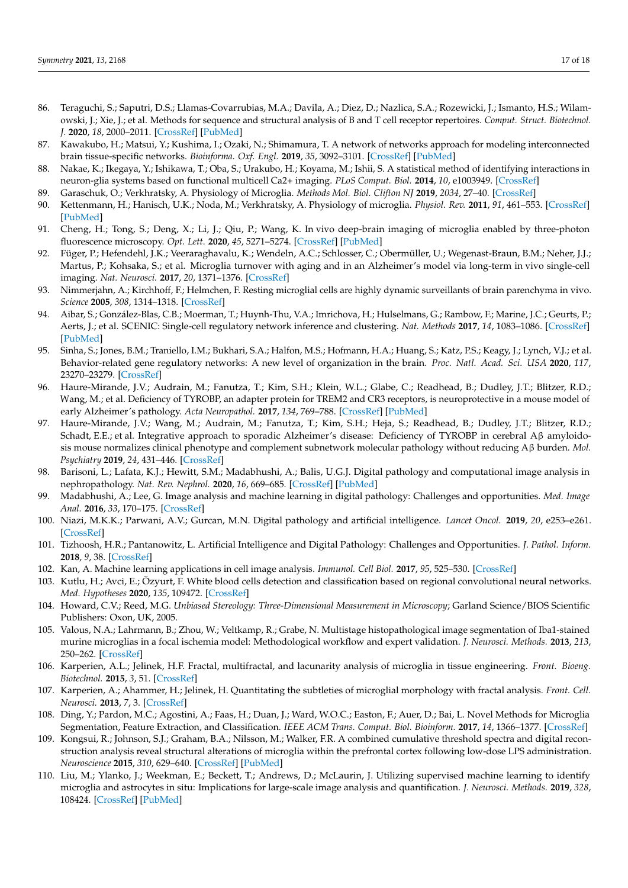- <span id="page-16-0"></span>86. Teraguchi, S.; Saputri, D.S.; Llamas-Covarrubias, M.A.; Davila, A.; Diez, D.; Nazlica, S.A.; Rozewicki, J.; Ismanto, H.S.; Wilamowski, J.; Xie, J.; et al. Methods for sequence and structural analysis of B and T cell receptor repertoires. *Comput. Struct. Biotechnol. J.* **2020**, *18*, 2000–2011. [\[CrossRef\]](http://doi.org/10.1016/j.csbj.2020.07.008) [\[PubMed\]](http://www.ncbi.nlm.nih.gov/pubmed/32802272)
- <span id="page-16-1"></span>87. Kawakubo, H.; Matsui, Y.; Kushima, I.; Ozaki, N.; Shimamura, T. A network of networks approach for modeling interconnected brain tissue-specific networks. *Bioinforma. Oxf. Engl.* **2019**, *35*, 3092–3101. [\[CrossRef\]](http://doi.org/10.1093/bioinformatics/btz032) [\[PubMed\]](http://www.ncbi.nlm.nih.gov/pubmed/30649245)
- <span id="page-16-2"></span>88. Nakae, K.; Ikegaya, Y.; Ishikawa, T.; Oba, S.; Urakubo, H.; Koyama, M.; Ishii, S. A statistical method of identifying interactions in neuron-glia systems based on functional multicell Ca2+ imaging. *PLoS Comput. Biol.* **2014**, *10*, e1003949. [\[CrossRef\]](http://doi.org/10.1371/journal.pcbi.1003949)
- <span id="page-16-3"></span>89. Garaschuk, O.; Verkhratsky, A. Physiology of Microglia. *Methods Mol. Biol. Clifton NJ* **2019**, *2034*, 27–40. [\[CrossRef\]](http://doi.org/10.1007/978-1-4939-9658-2_3)
- <span id="page-16-4"></span>90. Kettenmann, H.; Hanisch, U.K.; Noda, M.; Verkhratsky, A. Physiology of microglia. *Physiol. Rev.* **2011**, *91*, 461–553. [\[CrossRef\]](http://doi.org/10.1152/physrev.00011.2010) [\[PubMed\]](http://www.ncbi.nlm.nih.gov/pubmed/21527731)
- <span id="page-16-5"></span>91. Cheng, H.; Tong, S.; Deng, X.; Li, J.; Qiu, P.; Wang, K. In vivo deep-brain imaging of microglia enabled by three-photon fluorescence microscopy. *Opt. Lett.* **2020**, *45*, 5271–5274. [\[CrossRef\]](http://doi.org/10.1364/OL.408329) [\[PubMed\]](http://www.ncbi.nlm.nih.gov/pubmed/32932509)
- 92. Füger, P.; Hefendehl, J.K.; Veeraraghavalu, K.; Wendeln, A.C.; Schlosser, C.; Obermüller, U.; Wegenast-Braun, B.M.; Neher, J.J.; Martus, P.; Kohsaka, S.; et al. Microglia turnover with aging and in an Alzheimer's model via long-term in vivo single-cell imaging. *Nat. Neurosci.* **2017**, *20*, 1371–1376. [\[CrossRef\]](http://doi.org/10.1038/nn.4631)
- <span id="page-16-6"></span>93. Nimmerjahn, A.; Kirchhoff, F.; Helmchen, F. Resting microglial cells are highly dynamic surveillants of brain parenchyma in vivo. *Science* **2005**, *308*, 1314–1318. [\[CrossRef\]](http://doi.org/10.1126/science.1110647)
- <span id="page-16-7"></span>94. Aibar, S.; González-Blas, C.B.; Moerman, T.; Huynh-Thu, V.A.; Imrichova, H.; Hulselmans, G.; Rambow, F.; Marine, J.C.; Geurts, P.; Aerts, J.; et al. SCENIC: Single-cell regulatory network inference and clustering. *Nat. Methods* **2017**, *14*, 1083–1086. [\[CrossRef\]](http://doi.org/10.1038/nmeth.4463) [\[PubMed\]](http://www.ncbi.nlm.nih.gov/pubmed/28991892)
- <span id="page-16-8"></span>95. Sinha, S.; Jones, B.M.; Traniello, I.M.; Bukhari, S.A.; Halfon, M.S.; Hofmann, H.A.; Huang, S.; Katz, P.S.; Keagy, J.; Lynch, V.J.; et al. Behavior-related gene regulatory networks: A new level of organization in the brain. *Proc. Natl. Acad. Sci. USA* **2020**, *117*, 23270–23279. [\[CrossRef\]](http://doi.org/10.1073/pnas.1921625117)
- <span id="page-16-9"></span>96. Haure-Mirande, J.V.; Audrain, M.; Fanutza, T.; Kim, S.H.; Klein, W.L.; Glabe, C.; Readhead, B.; Dudley, J.T.; Blitzer, R.D.; Wang, M.; et al. Deficiency of TYROBP, an adapter protein for TREM2 and CR3 receptors, is neuroprotective in a mouse model of early Alzheimer's pathology. *Acta Neuropathol.* **2017**, *134*, 769–788. [\[CrossRef\]](http://doi.org/10.1007/s00401-017-1737-3) [\[PubMed\]](http://www.ncbi.nlm.nih.gov/pubmed/28612290)
- <span id="page-16-10"></span>97. Haure-Mirande, J.V.; Wang, M.; Audrain, M.; Fanutza, T.; Kim, S.H.; Heja, S.; Readhead, B.; Dudley, J.T.; Blitzer, R.D.; Schadt, E.E.; et al. Integrative approach to sporadic Alzheimer's disease: Deficiency of TYROBP in cerebral Aβ amyloidosis mouse normalizes clinical phenotype and complement subnetwork molecular pathology without reducing Aβ burden. *Mol. Psychiatry* **2019**, *24*, 431–446. [\[CrossRef\]](http://doi.org/10.1038/s41380-018-0255-6)
- <span id="page-16-11"></span>98. Barisoni, L.; Lafata, K.J.; Hewitt, S.M.; Madabhushi, A.; Balis, U.G.J. Digital pathology and computational image analysis in nephropathology. *Nat. Rev. Nephrol.* **2020**, *16*, 669–685. [\[CrossRef\]](http://doi.org/10.1038/s41581-020-0321-6) [\[PubMed\]](http://www.ncbi.nlm.nih.gov/pubmed/32848206)
- 99. Madabhushi, A.; Lee, G. Image analysis and machine learning in digital pathology: Challenges and opportunities. *Med. Image Anal.* **2016**, *33*, 170–175. [\[CrossRef\]](http://doi.org/10.1016/j.media.2016.06.037)
- 100. Niazi, M.K.K.; Parwani, A.V.; Gurcan, M.N. Digital pathology and artificial intelligence. *Lancet Oncol.* **2019**, *20*, e253–e261. [\[CrossRef\]](http://doi.org/10.1016/S1470-2045(19)30154-8)
- <span id="page-16-12"></span>101. Tizhoosh, H.R.; Pantanowitz, L. Artificial Intelligence and Digital Pathology: Challenges and Opportunities. *J. Pathol. Inform.* **2018**, *9*, 38. [\[CrossRef\]](http://doi.org/10.4103/jpi.jpi_53_18)
- <span id="page-16-13"></span>102. Kan, A. Machine learning applications in cell image analysis. *Immunol. Cell Biol.* **2017**, *95*, 525–530. [\[CrossRef\]](http://doi.org/10.1038/icb.2017.16)
- <span id="page-16-14"></span>103. Kutlu, H.; Avci, E.; Özyurt, F. White blood cells detection and classification based on regional convolutional neural networks. *Med. Hypotheses* **2020**, *135*, 109472. [\[CrossRef\]](http://doi.org/10.1016/j.mehy.2019.109472)
- <span id="page-16-15"></span>104. Howard, C.V.; Reed, M.G. *Unbiased Stereology: Three-Dimensional Measurement in Microscopy*; Garland Science/BIOS Scientific Publishers: Oxon, UK, 2005.
- <span id="page-16-16"></span>105. Valous, N.A.; Lahrmann, B.; Zhou, W.; Veltkamp, R.; Grabe, N. Multistage histopathological image segmentation of Iba1-stained murine microglias in a focal ischemia model: Methodological workflow and expert validation. *J. Neurosci. Methods.* **2013**, *213*, 250–262. [\[CrossRef\]](http://doi.org/10.1016/j.jneumeth.2012.12.017)
- <span id="page-16-17"></span>106. Karperien, A.L.; Jelinek, H.F. Fractal, multifractal, and lacunarity analysis of microglia in tissue engineering. *Front. Bioeng. Biotechnol.* **2015**, *3*, 51. [\[CrossRef\]](http://doi.org/10.3389/fbioe.2015.00051)
- <span id="page-16-18"></span>107. Karperien, A.; Ahammer, H.; Jelinek, H. Quantitating the subtleties of microglial morphology with fractal analysis. *Front. Cell. Neurosci.* **2013**, *7*, 3. [\[CrossRef\]](http://doi.org/10.3389/fncel.2013.00003)
- <span id="page-16-19"></span>108. Ding, Y.; Pardon, M.C.; Agostini, A.; Faas, H.; Duan, J.; Ward, W.O.C.; Easton, F.; Auer, D.; Bai, L. Novel Methods for Microglia Segmentation, Feature Extraction, and Classification. *IEEE ACM Trans. Comput. Biol. Bioinform.* **2017**, *14*, 1366–1377. [\[CrossRef\]](http://doi.org/10.1109/TCBB.2016.2591520)
- <span id="page-16-20"></span>109. Kongsui, R.; Johnson, S.J.; Graham, B.A.; Nilsson, M.; Walker, F.R. A combined cumulative threshold spectra and digital reconstruction analysis reveal structural alterations of microglia within the prefrontal cortex following low-dose LPS administration. *Neuroscience* **2015**, *310*, 629–640. [\[CrossRef\]](http://doi.org/10.1016/j.neuroscience.2015.09.061) [\[PubMed\]](http://www.ncbi.nlm.nih.gov/pubmed/26440295)
- <span id="page-16-21"></span>110. Liu, M.; Ylanko, J.; Weekman, E.; Beckett, T.; Andrews, D.; McLaurin, J. Utilizing supervised machine learning to identify microglia and astrocytes in situ: Implications for large-scale image analysis and quantification. *J. Neurosci. Methods.* **2019**, *328*, 108424. [\[CrossRef\]](http://doi.org/10.1016/j.jneumeth.2019.108424) [\[PubMed\]](http://www.ncbi.nlm.nih.gov/pubmed/31494186)